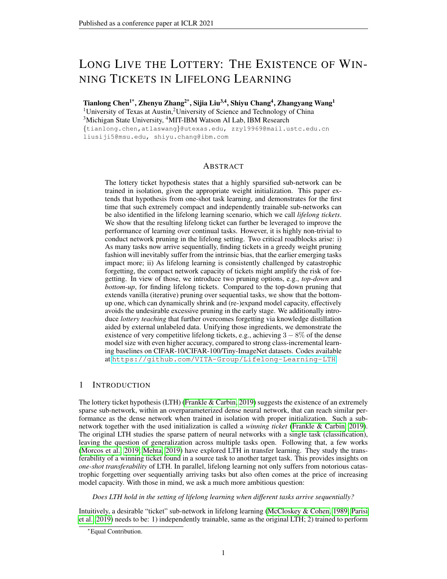# LONG LIVE THE LOTTERY: THE EXISTENCE OF WIN-NING TICKETS IN LIFELONG LEARNING

Tianlong Chen<sup>1\*</sup>, Zhenyu Zhang<sup>2\*</sup>, Sijia Liu<sup>3,4</sup>, Shiyu Chang<sup>4</sup>, Zhangyang Wang<sup>1</sup> <sup>1</sup>University of Texas at Austin,<sup>2</sup>University of Science and Technology of China <sup>3</sup>Michigan State University, <sup>4</sup>MIT-IBM Watson AI Lab, IBM Research

{tianlong.chen,atlaswang}@utexas.edu, zzy19969@mail.ustc.edu.cn liusiji5@msu.edu, shiyu.chang@ibm.com

## **ABSTRACT**

The lottery ticket hypothesis states that a highly sparsified sub-network can be trained in isolation, given the appropriate weight initialization. This paper extends that hypothesis from one-shot task learning, and demonstrates for the first time that such extremely compact and independently trainable sub-networks can be also identified in the lifelong learning scenario, which we call *lifelong tickets*. We show that the resulting lifelong ticket can further be leveraged to improve the performance of learning over continual tasks. However, it is highly non-trivial to conduct network pruning in the lifelong setting. Two critical roadblocks arise: i) As many tasks now arrive sequentially, finding tickets in a greedy weight pruning fashion will inevitably suffer from the intrinsic bias, that the earlier emerging tasks impact more; ii) As lifelong learning is consistently challenged by catastrophic forgetting, the compact network capacity of tickets might amplify the risk of forgetting. In view of those, we introduce two pruning options, e.g., *top-down* and *bottom-up*, for finding lifelong tickets. Compared to the top-down pruning that extends vanilla (iterative) pruning over sequential tasks, we show that the bottomup one, which can dynamically shrink and (re-)expand model capacity, effectively avoids the undesirable excessive pruning in the early stage. We additionally introduce *lottery teaching* that further overcomes forgetting via knowledge distillation aided by external unlabeled data. Unifying those ingredients, we demonstrate the existence of very competitive lifelong tickets, e.g., achieving  $3 - 8\%$  of the dense model size with even higher accuracy, compared to strong class-incremental learning baselines on CIFAR-10/CIFAR-100/Tiny-ImageNet datasets. Codes available at <https://github.com/VITA-Group/Lifelong-Learning-LTH>.

## 1 INTRODUCTION

The lottery ticket hypothesis (LTH) [\(Frankle & Carbin, 2019\)](#page-9-0) suggests the existence of an extremely sparse sub-network, within an overparameterized dense neural network, that can reach similar performance as the dense network when trained in isolation with proper initialization. Such a subnetwork together with the used initialization is called a *winning ticket* [\(Frankle & Carbin, 2019\)](#page-9-0). The original LTH studies the sparse pattern of neural networks with a single task (classification), leaving the question of generalization across multiple tasks open. Following that, a few works [\(Morcos et al., 2019;](#page-11-0) [Mehta, 2019\)](#page-11-1) have explored LTH in transfer learning. They study the transferability of a winning ticket found in a source task to another target task. This provides insights on *one-shot transferability* of LTH. In parallel, lifelong learning not only suffers from notorious catastrophic forgetting over sequentially arriving tasks but also often comes at the price of increasing model capacity. With those in mind, we ask a much more ambitious question:

*Does LTH hold in the setting of lifelong learning when different tasks arrive sequentially?*

Intuitively, a desirable "ticket" sub-network in lifelong learning [\(McCloskey & Cohen, 1989;](#page-10-0) [Parisi](#page-11-2) [et al., 2019\)](#page-11-2) needs to be: 1) independently trainable, same as the original LTH; 2) trained to perform

<sup>∗</sup>Equal Contribution.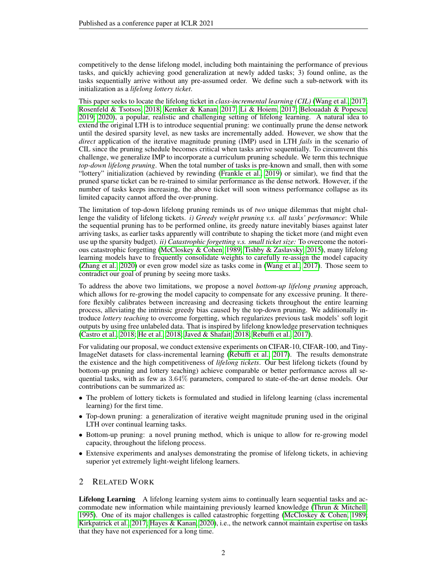competitively to the dense lifelong model, including both maintaining the performance of previous tasks, and quickly achieving good generalization at newly added tasks; 3) found online, as the tasks sequentially arrive without any pre-assumed order. We define such a sub-network with its initialization as a *lifelong lottery ticket*.

This paper seeks to locate the lifelong ticket in *class-incremental learning (CIL)* [\(Wang et al., 2017;](#page-11-3) [Rosenfeld & Tsotsos, 2018;](#page-11-4) [Kemker & Kanan, 2017;](#page-10-1) [Li & Hoiem, 2017;](#page-10-2) [Belouadah & Popescu,](#page-8-0) [2019;](#page-8-0) [2020\)](#page-8-1), a popular, realistic and challenging setting of lifelong learning. A natural idea to extend the original LTH is to introduce sequential pruning: we continually prune the dense network until the desired sparsity level, as new tasks are incrementally added. However, we show that the *direct* application of the iterative magnitude pruning (IMP) used in LTH *fails* in the scenario of CIL since the pruning schedule becomes critical when tasks arrive sequentially. To circumvent this challenge, we generalize IMP to incorporate a curriculum pruning schedule. We term this technique *top-down lifelong pruning*. When the total number of tasks is pre-known and small, then with some "lottery" initialization (achieved by rewinding [\(Frankle et al., 2019\)](#page-9-1) or similar), we find that the pruned sparse ticket can be re-trained to similar performance as the dense network. However, if the number of tasks keeps increasing, the above ticket will soon witness performance collapse as its limited capacity cannot afford the over-pruning.

The limitation of top-down lifelong pruning reminds us of *two* unique dilemmas that might challenge the validity of lifelong tickets. *i) Greedy weight pruning v.s. all tasks' performance*: While the sequential pruning has to be performed online, its greedy nature inevitably biases against later arriving tasks, as earlier tasks apparently will contribute to shaping the ticket more (and might even use up the sparsity budget). *ii) Catastrophic forgetting v.s. small ticket size:* To overcome the notorious catastrophic forgetting [\(McCloskey & Cohen, 1989;](#page-10-0) [Tishby & Zaslavsky, 2015\)](#page-11-5), many lifelong learning models have to frequently consolidate weights to carefully re-assign the model capacity [\(Zhang et al., 2020\)](#page-12-0) or even grow model size as tasks come in [\(Wang et al., 2017\)](#page-11-3). Those seem to contradict our goal of pruning by seeing more tasks.

To address the above two limitations, we propose a novel *bottom-up lifelong pruning* approach, which allows for re-growing the model capacity to compensate for any excessive pruning. It therefore flexibly calibrates between increasing and decreasing tickets throughout the entire learning process, alleviating the intrinsic greedy bias caused by the top-down pruning. We additionally introduce *lottery teaching* to overcome forgetting, which regularizes previous task models' soft logit outputs by using free unlabeled data. That is inspired by lifelong knowledge preservation techniques [\(Castro et al., 2018;](#page-8-2) [He et al., 2018;](#page-9-2) [Javed & Shafait, 2018;](#page-10-3) [Rebuffi et al., 2017\)](#page-11-6).

For validating our proposal, we conduct extensive experiments on CIFAR-10, CIFAR-100, and Tiny-ImageNet datasets for class-incremental learning [\(Rebuffi et al., 2017\)](#page-11-6). The results demonstrate the existence and the high competitiveness of *lifelong tickets*. Our best lifelong tickets (found by bottom-up pruning and lottery teaching) achieve comparable or better performance across all sequential tasks, with as few as 3.64% parameters, compared to state-of-the-art dense models. Our contributions can be summarized as:

- The problem of lottery tickets is formulated and studied in lifelong learning (class incremental learning) for the first time.
- Top-down pruning: a generalization of iterative weight magnitude pruning used in the original LTH over continual learning tasks.
- Bottom-up pruning: a novel pruning method, which is unique to allow for re-growing model capacity, throughout the lifelong process.
- Extensive experiments and analyses demonstrating the promise of lifelong tickets, in achieving superior yet extremely light-weight lifelong learners.

## 2 RELATED WORK

Lifelong Learning A lifelong learning system aims to continually learn sequential tasks and accommodate new information while maintaining previously learned knowledge [\(Thrun & Mitchell,](#page-11-7) [1995\)](#page-11-7). One of its major challenges is called catastrophic forgetting [\(McCloskey & Cohen, 1989;](#page-10-0) [Kirkpatrick et al., 2017;](#page-10-4) [Hayes & Kanan, 2020\)](#page-9-3), i.e., the network cannot maintain expertise on tasks that they have not experienced for a long time.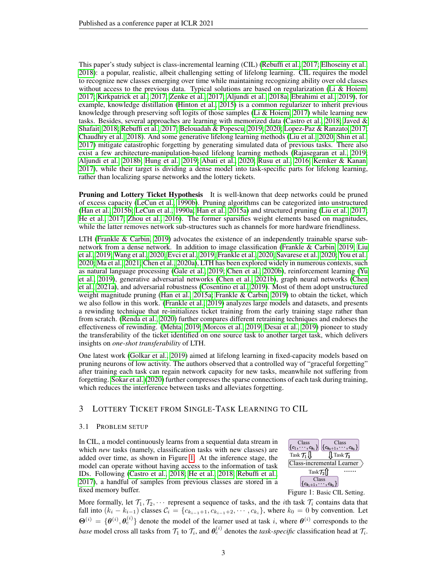This paper's study subject is class-incremental learning (CIL) [\(Rebuffi et al., 2017;](#page-11-6) [Elhoseiny et al.,](#page-9-4) [2018\)](#page-9-4): a popular, realistic, albeit challenging setting of lifelong learning. CIL requires the model to recognize new classes emerging over time while maintaining recognizing ability over old classes without access to the previous data. Typical solutions are based on regularization [\(Li & Hoiem,](#page-10-2) [2017;](#page-10-2) [Kirkpatrick et al., 2017;](#page-10-4) [Zenke et al., 2017;](#page-11-8) [Aljundi et al., 2018a;](#page-8-3) [Ebrahimi et al., 2019\)](#page-9-5), for example, knowledge distillation [\(Hinton et al., 2015\)](#page-10-5) is a common regularizer to inherit previous knowledge through preserving soft logits of those samples [\(Li & Hoiem, 2017\)](#page-10-2) while learning new tasks. Besides, several approaches are learning with memorized data [\(Castro et al., 2018;](#page-8-2) [Javed &](#page-10-3) [Shafait, 2018;](#page-10-3) [Rebuffi et al., 2017;](#page-11-6) [Belouadah & Popescu, 2019;](#page-8-0) [2020;](#page-8-1) [Lopez-Paz & Ranzato, 2017;](#page-10-6) [Chaudhry et al., 2018\)](#page-9-6). And some generative lifelong learning methods [\(Liu et al., 2020;](#page-10-7) [Shin et al.,](#page-11-9) [2017\)](#page-11-9) mitigate catastrophic forgetting by generating simulated data of previous tasks. There also exist a few architecture-manipulation-based lifelong learning methods [\(Rajasegaran et al., 2019;](#page-11-10) [Aljundi et al., 2018b;](#page-8-4) [Hung et al., 2019;](#page-10-8) [Abati et al., 2020;](#page-8-5) [Rusu et al., 2016;](#page-11-11) [Kemker & Kanan,](#page-10-1) [2017\)](#page-10-1), while their target is dividing a dense model into task-specific parts for lifelong learning, rather than localizing sparse networks and the lottery tickets.

**Pruning and Lottery Ticket Hypothesis** It is well-known that deep networks could be pruned of excess capacity [\(LeCun et al., 1990b\)](#page-10-9). Pruning algorithms can be categorized into unstructured [\(Han et al., 2015b;](#page-9-7) [LeCun et al., 1990a;](#page-10-10) [Han et al., 2015a\)](#page-9-8) and structured pruning [\(Liu et al., 2017;](#page-10-11) [He et al., 2017;](#page-10-12) [Zhou et al., 2016\)](#page-12-1). The former sparsifies weight elements based on magnitudes, while the latter removes network sub-structures such as channels for more hardware friendliness.

LTH [\(Frankle & Carbin, 2019\)](#page-9-0) advocates the existence of an independently trainable sparse subnetwork from a dense network. In addition to image classification [\(Frankle & Carbin, 2019;](#page-9-0) [Liu](#page-10-13) [et al., 2019;](#page-10-13) [Wang et al., 2020;](#page-11-12) [Evci et al., 2019;](#page-9-9) [Frankle et al., 2020;](#page-9-10) [Savarese et al., 2020;](#page-11-13) [You et al.,](#page-11-14) [2020;](#page-11-14) [Ma et al., 2021;](#page-10-14) [Chen et al., 2020a\)](#page-9-11), LTH has been explored widely in numerous contexts, such as natural language processing [\(Gale et al., 2019;](#page-9-12) [Chen et al., 2020b\)](#page-9-13), reinforcement learning [\(Yu](#page-11-15) [et al., 2019\)](#page-11-15), generative adversarial networks [\(Chen et al., 2021b\)](#page-9-14), graph neural networks [\(Chen](#page-9-15) [et al., 2021a\)](#page-9-15), and adversarial robustness [\(Cosentino et al., 2019\)](#page-9-16). Most of them adopt unstructured weight magnitude pruning [\(Han et al., 2015a;](#page-9-8) [Frankle & Carbin, 2019\)](#page-9-0) to obtain the ticket, which we also follow in this work. [\(Frankle et al., 2019\)](#page-9-1) analyzes large models and datasets, and presents a rewinding technique that re-initializes ticket training from the early training stage rather than from scratch. [\(Renda et al., 2020\)](#page-11-16) further compares different retraining techniques and endorses the effectiveness of rewinding. [\(Mehta, 2019;](#page-11-1) [Morcos et al., 2019;](#page-11-0) [Desai et al., 2019\)](#page-9-17) pioneer to study the transferability of the ticket identified on one source task to another target task, which delivers insights on *one-shot transferability* of LTH.

One latest work [\(Golkar et al., 2019\)](#page-9-18) aimed at lifelong learning in fixed-capacity models based on pruning neurons of low activity. The authors observed that a controlled way of "graceful forgetting" after training each task can regain network capacity for new tasks, meanwhile not suffering from forgetting. [Sokar et al.](#page-11-17) [\(2020\)](#page-11-17) further compresses the sparse connections of each task during training, which reduces the interference between tasks and alleviates forgetting.

## 3 LOTTERY TICKET FROM SINGLE-TASK LEARNING TO CIL

#### 3.1 PROBLEM SETUP

In CIL, a model continuously learns from a sequential data stream in which *new* tasks (namely, classification tasks with new classes) are added over time, as shown in Figure [1.](#page-2-0) At the inference stage, the model can operate without having access to the information of task IDs. Following [\(Castro et al., 2018;](#page-8-2) [He et al., 2018;](#page-9-2) [Rebuffi et al.,](#page-11-6) [2017\)](#page-11-6), a handful of samples from previous classes are stored in a fixed memory buffer.



<span id="page-2-0"></span>Figure 1: Basic CIL Setting.

More formally, let  $\mathcal{T}_1, \mathcal{T}_2, \cdots$  represent a sequence of tasks, and the *i*th task  $\mathcal{T}_i$  contains data that fall into  $(k_i - k_{i-1})$  classes  $C_i = \{c_{k_{i-1}+1}, c_{k_{i-1}+2}, \cdots, c_{k_i}\}$ , where  $k_0 = 0$  by convention. Let  $\Theta^{(i)} = \{\theta^{(i)}, \theta^{(i)}_c\}$  denote the model of the learner used at task i, where  $\theta^{(i)}$  corresponds to the *base* model cross all tasks from  $\mathcal{T}_1$  to  $\mathcal{T}_i$ , and  $\theta_c^{(i)}$  denotes the *task-specific* classification head at  $\mathcal{T}_i$ .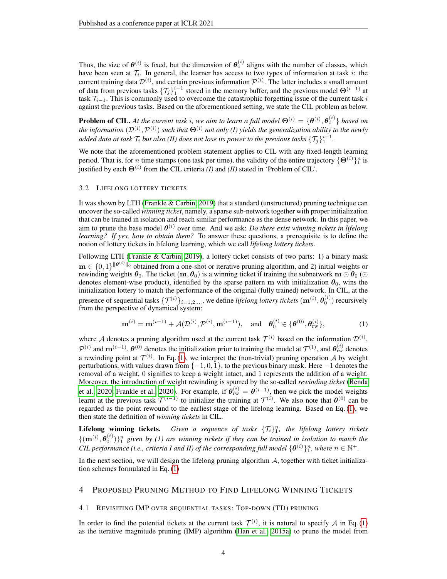Thus, the size of  $\theta^{(i)}$  is fixed, but the dimension of  $\theta_c^{(i)}$  aligns with the number of classes, which have been seen at  $\mathcal{T}_i$ . In general, the learner has access to two types of information at task *i*: the current training data  $\mathcal{D}^{(i)}$ , and certain previous information  $\mathcal{P}^{(i)}$ . The latter includes a small amount of data from previous tasks  $\{\mathcal{T}_j\}_1^{i-1}$  stored in the memory buffer, and the previous model  $\Theta^{(i-1)}$  at task  $\mathcal{T}_{i-1}$ . This is commonly used to overcome the catastrophic forgetting issue of the current task i against the previous tasks. Based on the aforementioned setting, we state the CIL problem as below.

**Problem of CIL.** At the current task i, we aim to learn a full model  $\Theta^{(i)} = \{\theta^{(i)}, \theta^{(i)}_c\}$  based on the information  $({\cal D}^{(i)},{\cal P}^{(i)})$  such that  $\bm{\Theta}^{(i)}$  not only (I) yields the generalization ability to the newly added data at task  $\mathcal{T}_i$  but also (II) does not lose its power to the previous tasks  $\{\mathcal{T}_j\}_1^{i-1}.$ 

We note that the aforementioned problem statement applies to CIL with any fixed-length learning period. That is, for *n* time stamps (one task per time), the validity of the entire trajectory  $\{\Theta^{(i)}\}_1^n$  is justified by each  $\Theta^{(i)}$  from the CIL criteria *(I)* and *(II)* stated in 'Problem of CIL'.

#### 3.2 LIFELONG LOTTERY TICKETS

It was shown by LTH [\(Frankle & Carbin, 2019\)](#page-9-0) that a standard (unstructured) pruning technique can uncover the so-called *winning ticket*, namely, a sparse sub-network together with proper initialization that can be trained in isolation and reach similar performance as the dense network. In this paper, we aim to prune the base model  $\theta^{(i)}$  over time. And we ask: *Do there exist winning tickets in lifelong learning? If yes, how to obtain them?* To answer these questions, a prerequisite is to define the notion of lottery tickets in lifelong learning, which we call *lifelong lottery tickets*.

Following LTH [\(Frankle & Carbin, 2019\)](#page-9-0), a lottery ticket consists of two parts: 1) a binary mask  $\mathbf{m} \in \{0,1\}^{\|\theta^{(i)}\|_0}$  obtained from a one-shot or iterative pruning algorithm, and 2) initial weights or rewinding weights  $\theta_0$ . The ticket  $(m, \theta_0)$  is a winning ticket if training the subnetwork  $m \odot \theta_0$  ( $\odot$ denotes element-wise product), identified by the sparse pattern m with initialization  $\theta_0$ , wins the initialization lottery to match the performance of the original (fully trained) network. In CIL, at the presence of sequential tasks  $\{\mathcal{T}^{(i)}\}_{i=1,2,...}$ , we define *lifelong lottery tickets*  $(\mathbf{m}^{(i)}, \theta_0^{(i)})$  recursively from the perspective of dynamical system:

<span id="page-3-0"></span>
$$
\mathbf{m}^{(i)} = \mathbf{m}^{(i-1)} + \mathcal{A}(\mathcal{D}^{(i)}, \mathcal{P}^{(i)}, \mathbf{m}^{(i-1)}), \text{ and } \theta_0^{(i)} \in \{\theta^{(0)}, \theta_{\text{rw}}^{(i)}\},
$$
(1)

where A denotes a pruning algorithm used at the current task  $\mathcal{T}^{(i)}$  based on the information  $\mathcal{D}^{(i)}$ ,  $\mathcal{P}^{(i)}$  and  $\mathbf{m}^{(i-1)}$ ,  $\boldsymbol{\theta}^{(0)}$  denotes the initialization prior to training the model at  $\mathcal{T}^{(1)}$ , and  $\boldsymbol{\theta}_{rw}^{(i)}$  denotes a rewinding point at  $\mathcal{T}^{(i)}$ . In Eq. [\(1\)](#page-3-0), we interpret the (non-trivial) pruning operation A by weight perturbations, with values drawn from  $\{-1, 0, 1\}$ , to the previous binary mask. Here  $-1$  denotes the removal of a weight, 0 signifies to keep a weight intact, and 1 represents the addition of a weight. Moreover, the introduction of weight rewinding is spurred by the so-called *rewinding ticket* [\(Renda](#page-11-16) [et al., 2020;](#page-11-16) [Frankle et al., 2020\)](#page-9-10). For example, if  $\theta_{rw}^{(i)} = \theta_{(i-1)}$ , then we pick the model weights learnt at the previous task  $\mathcal{T}^{(i-1)}$  to initialize the training at  $\mathcal{T}^{(i)}$ . We also note that  $\theta^{(0)}$  can be regarded as the point rewound to the earliest stage of the lifelong learning. Based on Eq. [\(1\)](#page-3-0), we then state the definition of *winning tickets* in CIL.

**Lifelong winning tickets.** Given a sequence of tasks  $\{\mathcal{T}_i\}_{1}^n$ , the lifelong lottery tickets  $\{({\bf m}^{(i)},\theta_0^{(i)})\}_1^n$  given by (1) are winning tickets if they can be trained in isolation to match the *CIL performance (i.e., criteria I and II) of the corresponding full model*  $\{\theta^{(i)}\}_1^n$ , where  $n \in \mathbb{N}^+$ .

In the next section, we will design the lifelong pruning algorithm  $A$ , together with ticket initialization schemes formulated in Eq. [\(1\)](#page-3-0)

## 4 PROPOSED PRUNING METHOD TO FIND LIFELONG WINNING TICKETS

### 4.1 REVISITING IMP OVER SEQUENTIAL TASKS: TOP-DOWN (TD) PRUNING

In order to find the potential tickets at the current task  $\mathcal{T}^{(i)}$ , it is natural to specify A in Eq. [\(1\)](#page-3-0) as the iterative magnitude pruning (IMP) algorithm [\(Han et al., 2015a\)](#page-9-8) to prune the model from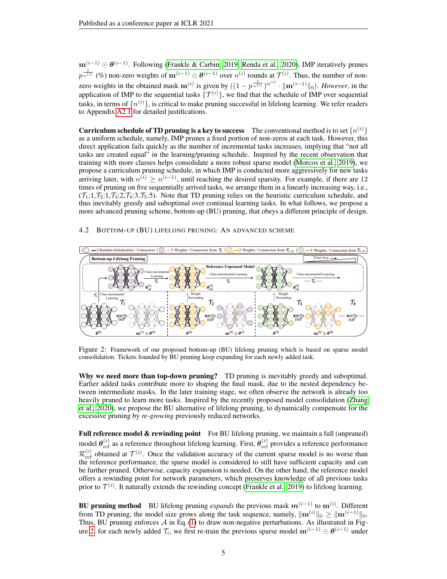$m^{(i-1)} \odot \theta^{(i-1)}$ . Following [\(Frankle & Carbin, 2019;](#page-9-0) [Renda et al., 2020\)](#page-11-16), IMP iteratively prunes  $p^{\frac{1}{n^{(i)}}}$  (%) non-zero weights of  $\mathbf{m}^{(i-1)} \odot \boldsymbol{\theta}^{(i-1)}$  over  $n^{(i)}$  rounds at  $\mathcal{T}^{(i)}$ . Thus, the number of nonzero weights in the obtained mask  $m^{(i)}$  is given by  $((1 - p^{\frac{1}{n^{(i)}}})^{n^{(i)}} \cdot ||m^{(i-1)}||_0)$ . *However*, in the application of IMP to the sequential tasks  $\{\mathcal{T}^{(i)}\}$ , we find that the schedule of IMP over sequential tasks, in terms of  $\{n^{(i)}\}$ , is critical to make pruning successful in lifelong learning. We refer readers to Appendix [A2.1](#page-16-0) for detailed justifications.

**Curriculum schedule of TD pruning is a key to success** The conventional method is to set  $\{n^{(i)}\}$ as a uniform schedule, namely, IMP prunes a fixed portion of non-zeros at each task. However, this direct application fails quickly as the number of incremental tasks increases, implying that "not all tasks are created equal" in the learning/pruning schedule. Inspired by the recent observation that training with more classes helps consolidate a more robust sparse model [\(Morcos et al., 2019\)](#page-11-0), we propose a curriculum pruning schedule, in which IMP is conducted more aggressively for new tasks arriving later, with  $n^{(i)} \geq n^{(i-1)}$ , until reaching the desired sparsity. For example, if there are 12 times of pruning on five sequentially arrived tasks, we arrange them in a linearly increasing way, i.e.,  $(\mathcal{T}_1:1,\mathcal{T}_2:1,\mathcal{T}_3:2,\mathcal{T}_4:3,\mathcal{T}_5:5)$ . Note that TD pruning relies on the heuristic curriculum schedule, and thus inevitably greedy and suboptimal over continual learning tasks. In what follows, we propose a more advanced pruning scheme, bottom-up (BU) pruning, that obeys a different principle of design.

### 4.2 BOTTOM-UP (BU) LIFELONG PRUNING: AN ADVANCED SCHEME



<span id="page-4-0"></span>Figure 2: Framework of our proposed bottom-up (BU) lifelong pruning which is based on sparse model consolidation. Tickets founded by BU pruning keep expanding for each newly added task.

Why we need more than top-down pruning? TD pruning is inevitably greedy and suboptimal. Earlier added tasks contribute more to shaping the final mask, due to the nested dependency between intermediate masks. In the later training stage, we often observe the network is already too heavily pruned to learn more tasks. Inspired by the recently proposed model consolidation [\(Zhang](#page-12-0) [et al., 2020\)](#page-12-0), we propose the BU alternative of lifelong pruning, to dynamically compensate for the excessive pruning by *re-growing* previously reduced networks.

Full reference model & rewinding point For BU lifelong pruning, we maintain a full (unpruned) model  $\theta_{ref}^{(i)}$  as a reference throughout lifelong learning. First,  $\theta_{ref}^{(i)}$  provides a reference performance  $\mathcal{R}_{\text{ref}}^{(i)}$  obtained at  $\mathcal{T}^{(i)}$ . Once the validation accuracy of the current sparse model is no worse than the reference performance, the sparse model is considered to still have sufficient capacity and can be further pruned. Otherwise, capacity expansion is needed. On the other hand, the reference model offers a rewinding point for network parameters, which preserves knowledge of all previous tasks prior to  $\mathcal{T}^{(i)}$ . It naturally extends the rewinding concept [\(Frankle et al., 2019\)](#page-9-1) to lifelong learning.

**BU pruning method** BU lifelong pruning *expands* the previous mask  $m^{(i-1)}$  to  $m^{(i)}$ . Different from TD pruning, the model size grows along the task sequence, namely,  $\|\mathbf{m}^{(i)}\|_0 \geq \|\mathbf{m}^{(i-1)}\|_0$ . Thus, BU pruning enforces  $A$  in Eq. [\(1\)](#page-3-0) to draw non-negative perturbations. As illustrated in Fig-ure [2,](#page-4-0) for each newly added  $\mathcal{T}_i$ , we first re-train the previous sparse model  $\mathbf{m}^{(i-1)} \odot \theta^{(i-1)}$  under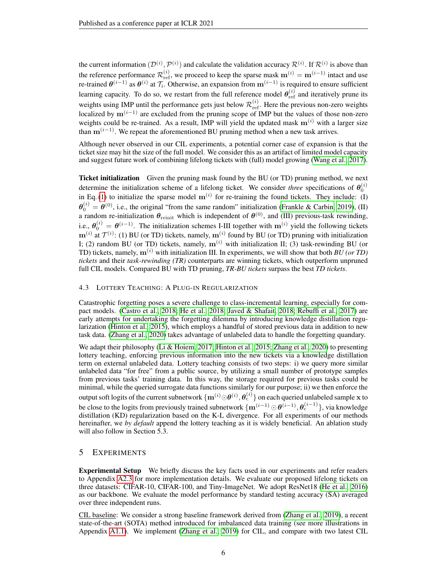the current information  $(D^{(i)}, \mathcal{P}^{(i)})$  and calculate the validation accuracy  $\mathcal{R}^{(i)}$ . If  $\mathcal{R}^{(i)}$  is above than the reference performance  $\mathcal{R}_{ref}^{(i)}$ , we proceed to keep the sparse mask  $\mathbf{m}^{(i)} = \mathbf{m}^{(i-1)}$  intact and use re-trained  $\theta^{(i-1)}$  as  $\theta^{(i)}$  at  $\mathcal{T}_i$ . Otherwise, an expansion from  $\mathbf{m}^{(i-1)}$  is required to ensure sufficient learning capacity. To do so, we restart from the full reference model  $\theta_{\text{ref}}^{(i)}$  and iteratively prune its weights using IMP until the performance gets just below  $\mathcal{R}^{(i)}_{\text{ref}}$ . Here the previous non-zero weights localized by  $\mathbf{m}^{(i-1)}$  are excluded from the pruning scope of IMP but the values of those non-zero weights could be re-trained. As a result, IMP will yield the updated mask  $m^{(i)}$  with a larger size than  $m^{(i-1)}$ . We repeat the aforementioned BU pruning method when a new task arrives.

Although never observed in our CIL experiments, a potential corner case of expansion is that the ticket size may hit the size of the full model. We consider this as an artifact of limited model capacity and suggest future work of combining lifelong tickets with (full) model growing [\(Wang et al., 2017\)](#page-11-3).

<span id="page-5-0"></span>**Ticket initialization** Given the pruning mask found by the BU (or TD) pruning method, we next determine the initialization scheme of a lifelong ticket. We consider *three* specifications of  $\theta_0^{(i)}$ in Eq. [\(1\)](#page-3-0) to initialize the sparse model  $m^{(i)}$  for re-training the found tickets. They include: (I)  $\theta_0^{(i)} = \theta^{(0)}$ , i.e., the original "from the same random" initialization [\(Frankle & Carbin, 2019\)](#page-9-0), (II) a random re-initialization  $\theta_{\rm reinit}$  which is independent of  $\theta^{(0)}$ , and (III) previous-task rewinding, i.e.,  $\theta_0^{(i)} = \theta^{(i-1)}$ . The initialization schemes I-III together with  $\mathbf{m}^{(i)}$  yield the following tickets  $m^{(i)}$  at  $\mathcal{T}^{(i)}$ : (1) BU (or TD) tickets, namely,  $m^{(i)}$  found by BU (or TD) pruning with initialization I; (2) random BU (or TD) tickets, namely,  $m^{(i)}$  with initialization II; (3) task-rewinding BU (or TD) tickets, namely,  $\mathbf{m}^{(i)}$  with initialization III. In experiments, we will show that both *BU (or TD) tickets* and their *task-rewinding (TR)* counterparts are winning tickets, which outperform unpruned full CIL models. Compared BU with TD pruning, *TR-BU tickets* surpass the best *TD tickets*.

#### 4.3 LOTTERY TEACHING: A PLUG-IN REGULARIZATION

Catastrophic forgetting poses a severe challenge to class-incremental learning, especially for compact models. [\(Castro et al., 2018;](#page-8-2) [He et al., 2018;](#page-9-2) [Javed & Shafait, 2018;](#page-10-3) [Rebuffi et al., 2017\)](#page-11-6) are early attempts for undertaking the forgetting dilemma by introducing knowledge distillation regularization [\(Hinton et al., 2015\)](#page-10-5), which employs a handful of stored previous data in addition to new task data. [\(Zhang et al., 2020\)](#page-12-0) takes advantage of unlabeled data to handle the forgetting quandary.

We adapt their philosophy [\(Li & Hoiem, 2017;](#page-10-2) [Hinton et al., 2015;](#page-10-5) [Zhang et al., 2020\)](#page-12-0) to presenting lottery teaching, enforcing previous information into the new tickets via a knowledge distillation term on external unlabeled data. Lottery teaching consists of two steps: i) we query more similar unlabeled data "for free" from a public source, by utilizing a small number of prototype samples from previous tasks' training data. In this way, the storage required for previous tasks could be minimal, while the queried surrogate data functions similarly for our purpose; ii) we then enforce the output soft logits of the current subnetwork  $\{{\bf m}^{(i)}{\odot}\bm{\theta}^{(i)},\bm{\theta}_{\rm c}^{(i)}\}$  on each queried unlabeled sample  ${\bf x}$  to be close to the logits from previously trained subnetwork  $\{{\bf m}^{(i-1)}\odot\bm{\theta}^{(i-1)},\bm{\theta}^{(i-1)}_c\}$ , via knowledge distillation (KD) regularization based on the K-L divergence. For all experiments of our methods hereinafter, we *by default* append the lottery teaching as it is widely beneficial. An ablation study will also follow in Section 5.3.

## 5 EXPERIMENTS

Experimental Setup We briefly discuss the key facts used in our experiments and refer readers to Appendix [A2.3](#page-18-0) for more implementation details. We evaluate our proposed lifelong tickets on three datasets: CIFAR-10, CIFAR-100, and Tiny-ImageNet. We adopt ResNet18 [\(He et al., 2016\)](#page-10-15) as our backbone. We evaluate the model performance by standard testing accuracy (SA) averaged over three independent runs.

CIL baseline: We consider a strong baseline framework derived from [\(Zhang et al., 2019\)](#page-12-2), a recent state-of-the-art (SOTA) method introduced for imbalanced data training (see more illustrations in Appendix [A1.1\)](#page-13-0). We implement [\(Zhang et al., 2019\)](#page-12-2) for CIL, and compare with two latest CIL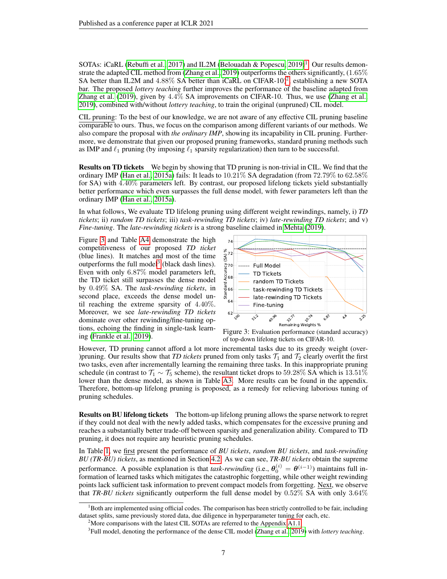SOTAs: iCaRL [\(Rebuffi et al., 2017\)](#page-11-6) and IL2M [\(Belouadah & Popescu, 2019\)](#page-8-0)<sup>[1](#page-6-0)</sup>. Our results demon-strate the adapted CIL method from [\(Zhang et al., 2019\)](#page-12-2) outperforms the others significantly,  $(1.65\%$ SA better than IL[2](#page-6-1)M and 4.88% SA better than iCaRL on CIFAR-10)<sup>2</sup>, establishing a new SOTA bar. The proposed *lottery teaching* further improves the performance of the baseline adapted from [Zhang et al.](#page-12-2) [\(2019\)](#page-12-2), given by 4.4% SA improvements on CIFAR-10. Thus, we use [\(Zhang et al.,](#page-12-2) [2019\)](#page-12-2), combined with/without *lottery teaching*, to train the original (unpruned) CIL model.

CIL pruning: To the best of our knowledge, we are not aware of any effective CIL pruning baseline comparable to ours. Thus, we focus on the comparison among different variants of our methods. We also compare the proposal with *the ordinary IMP*, showing its incapability in CIL pruning. Furthermore, we demonstrate that given our proposed pruning frameworks, standard pruning methods such as IMP and  $\ell_1$  pruning (by imposing  $\ell_1$  sparsity regularization) then turn to be successful.

Results on TD tickets We begin by showing that TD pruning is non-trivial in CIL. We find that the ordinary IMP [\(Han et al., 2015a\)](#page-9-8) fails: It leads to  $10.21\%$  SA degradation (from 72.79% to 62.58%) for SA) with 4.40% parameters left. By contrast, our proposed lifelong tickets yield substantially better performance which even surpasses the full dense model, with fewer parameters left than the ordinary IMP [\(Han et al., 2015a\)](#page-9-8).

In what follows, We evaluate TD lifelong pruning using different weight rewindings, namely, i) *TD tickets*; ii) *random TD tickets*; iii) *task-rewinding TD tickets*; iv) *late-rewinding TD tickets*; and v) *Fine-tuning*. The *late-rewinding tickets* is a strong baseline claimed in [Mehta](#page-11-1) [\(2019\)](#page-11-1).

Figure [3](#page-6-2) and Table [A4](#page-14-0) demonstrate the high competitiveness of our proposed *TD ticket* (blue lines). It matches and most of the time outperforms the full model<sup>[3](#page-6-3)</sup> (black dash lines). Even with only 6.87% model parameters left, the TD ticket still surpasses the dense model by 0.49% SA. The *task-rewinding tickets*, in second place, exceeds the dense model until reaching the extreme sparsity of 4.40%. Moreover, we see *late-rewinding TD tickets* dominate over other rewinding/fine-tuning options, echoing the finding in single-task learning [\(Frankle et al., 2019\)](#page-9-1).



<span id="page-6-2"></span>Figure 3: Evaluation performance (standard accuracy) of top-down lifelong tickets on CIFAR-10.

However, TD pruning cannot afford a lot more incremental tasks due to its greedy weight (over- )pruning. Our results show that *TD tickets* pruned from only tasks  $\mathcal{T}_1$  and  $\mathcal{T}_2$  clearly overfit the first two tasks, even after incrementally learning the remaining three tasks. In this inappropriate pruning schedule (in contrast to  $\mathcal{T}_1 \sim \mathcal{T}_5$  scheme), the resultant ticket drops to 59.28% SA which is 13.51% lower than the dense model, as shown in Table [A3.](#page-13-1) More results can be found in the appendix. Therefore, bottom-up lifelong pruning is proposed, as a remedy for relieving laborious tuning of pruning schedules.

Results on BU lifelong tickets The bottom-up lifelong pruning allows the sparse network to regret if they could not deal with the newly added tasks, which compensates for the excessive pruning and reaches a substantially better trade-off between sparsity and generalization ability. Compared to TD pruning, it does not require any heuristic pruning schedules.

In Table [1,](#page-7-0) we first present the performance of *BU tickets*, *random BU tickets*, and *task-rewinding BU (TR-BU) tickets*, as mentioned in Section [4.2.](#page-5-0) As we can see, *TR-BU tickets* obtain the supreme performance. A possible explanation is that *task-rewinding* (i.e.,  $\theta_0^{(i)} = \theta^{(i-1)}$ ) maintains full information of learned tasks which mitigates the catastrophic forgetting, while other weight rewinding points lack sufficient task information to prevent compact models from forgetting. Next, we observe that *TR-BU tickets* significantly outperform the full dense model by 0.52% SA with only 3.64%

<span id="page-6-0"></span> $1<sup>1</sup>$ Both are implemented using official codes. The comparison has been strictly controlled to be fair, including dataset splits, same previously stored data, due diligence in hyperparameter tuning for each, etc.

<span id="page-6-1"></span><sup>&</sup>lt;sup>2</sup>More comparisons with the latest CIL SOTAs are referred to the Appendix [A1.1](#page-13-0)

<span id="page-6-3"></span><sup>3</sup> Full model, denoting the performance of the dense CIL model [\(Zhang et al., 2019\)](#page-12-2) with *lottery teaching*.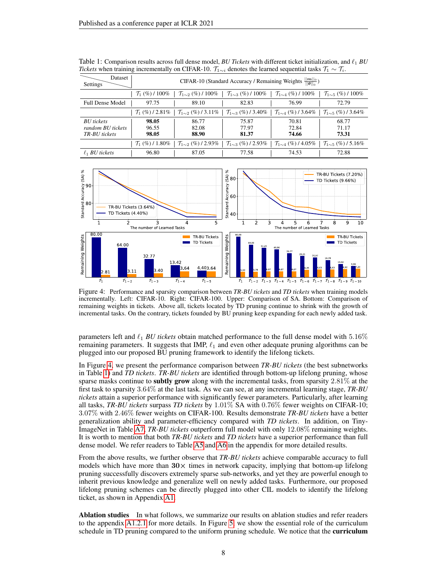| Dataset<br>Settings                                     | CIFAR-10 (Standard Accuracy / Remaining Weights $\frac{  \mathbf{m}  _0}{  \mathbf{\theta}  _0}$ ) |                                    |                                    |                                    |                                     |  |  |  |
|---------------------------------------------------------|----------------------------------------------------------------------------------------------------|------------------------------------|------------------------------------|------------------------------------|-------------------------------------|--|--|--|
|                                                         | $\mathcal{T}_1$ (%) / 100%                                                                         | $\mathcal{T}_{1\sim2}$ (%) / 100%  | $\mathcal{T}_{1\sim3}$ (%) / 100%  | $\mathcal{T}_{1\sim4}$ (%) / 100%  | $\mathcal{T}_{1\sim 5}$ (%) / 100%  |  |  |  |
| <b>Full Dense Model</b>                                 | 97.75                                                                                              | 89.10                              | 82.83                              | 76.99                              | 72.79                               |  |  |  |
|                                                         | $\mathcal{T}_1$ (%) / 2.81%                                                                        | $\mathcal{T}_{1\sim2}$ (%) / 3.11% | $\mathcal{T}_{1\sim3}$ (%) / 3.40% | $\mathcal{T}_{1\sim4}$ (%) / 3.64% | $\mathcal{T}_{1\sim 5}$ (%) / 3.64% |  |  |  |
| <b>BU</b> tickets<br>random BU tickets<br>TR-BU tickets | 98.05<br>96.55<br>98.05                                                                            | 86.77<br>82.08<br>88.90            | 75.87<br>77.97<br>81.37            | 70.81<br>72.84<br>74.66            | 68.77<br>71.17<br>73.31             |  |  |  |
|                                                         | $\mathcal{T}_1$ (%) / 1.80%                                                                        | $\mathcal{T}_{1\sim2}$ (%) / 2.93% | $\mathcal{T}_{1\sim3}$ (%) / 2.93% | $\mathcal{T}_{1\sim4}$ (%) / 4.05% | $\mathcal{T}_{1\sim5}$ (%) / 5.16%  |  |  |  |
| $\ell_1$ BU tickets                                     | 96.80                                                                                              | 87.05                              | 77.58                              | 74.53                              | 72.88                               |  |  |  |

<span id="page-7-0"></span>Table 1: Comparison results across full dense model, *BU Tickets* with different ticket initialization, and  $\ell_1$  *BU Tickets* when training incrementally on CIFAR-10.  $\mathcal{T}_{1 \sim i}$  denotes the learned sequential tasks  $\mathcal{T}_1 \sim \mathcal{T}_i$ .



<span id="page-7-1"></span>Figure 4: Performance and sparsity comparison between *TR-BU tickets* and *TD tickets* when training models incrementally. Left: CIFAR-10. Right: CIFAR-100. Upper: Comparison of SA. Bottom: Comparison of remaining weights in tickets. Above all, tickets located by TD pruning continue to shrink with the growth of incremental tasks. On the contrary, tickets founded by BU pruning keep expanding for each newly added task.

parameters left and  $\ell_1$  *BU tickets* obtain matched performance to the full dense model with 5.16% remaining parameters. It suggests that IMP,  $\ell_1$  and even other adequate pruning algorithms can be plugged into our proposed BU pruning framework to identify the lifelong tickets.

In Figure [4,](#page-7-1) we present the performance comparison between *TR-BU tickets* (the best subnetworks in Table [1\)](#page-7-0) and *TD tickets*. *TR-BU tickets* are identified through bottom-up lifelong pruning, whose sparse masks continue to **subtly grow** along with the incremental tasks, from sparsity  $2.81\%$  at the first task to sparsity 3.64% at the last task. As we can see, at any incremental learning stage, *TR-BU tickets* attain a superior performance with significantly fewer parameters. Particularly, after learning all tasks, *TR-BU tickets* surpass *TD tickets* by 1.01% SA with 0.76% fewer weights on CIFAR-10; 3.07% with 2.46% fewer weights on CIFAR-100. Results demonstrate *TR-BU tickets* have a better generalization ability and parameter-efficiency compared with *TD tickets*. In addition, on Tiny-ImageNet in Table [A7,](#page-15-0) *TR-BU tickets* outperform full model with only 12.08% remaining weights. It is worth to mention that both *TR-BU tickets* and *TD tickets* have a superior performance than full dense model. We refer readers to Table [A5](#page-15-1) and [A6](#page-15-2) in the appendix for more detailed results.

From the above results, we further observe that *TR-BU tickets* achieve comparable accuracy to full models which have more than  $30 \times$  times in network capacity, implying that bottom-up lifelong pruning successfully discovers extremely sparse sub-networks, and yet they are powerful enough to inherit previous knowledge and generalize well on newly added tasks. Furthermore, our proposed lifelong pruning schemes can be directly plugged into other CIL models to identify the lifelong ticket, as shown in Appendix [A1.](#page-13-2)

Ablation studies In what follows, we summarize our results on ablation studies and refer readers to the appendix [A1.2.1](#page-14-1) for more details. In Figure [5,](#page-8-6) we show the essential role of the curriculum schedule in TD pruning compared to the uniform pruning schedule. We notice that the **curriculum**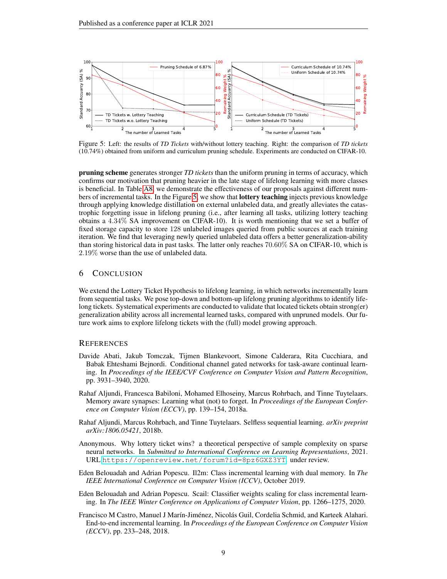

<span id="page-8-6"></span>Figure 5: Left: the results of *TD Tickets* with/without lottery teaching. Right: the comparison of *TD tickets* (10.74%) obtained from uniform and curriculum pruning schedule. Experiments are conducted on CIFAR-10.

pruning scheme generates stronger *TD tickets* than the uniform pruning in terms of accuracy, which confirms our motivation that pruning heavier in the late stage of lifelong learning with more classes is beneficial. In Table [A8,](#page-16-1) we demonstrate the effectiveness of our proposals against different num-bers of incremental tasks. In the Figure [5,](#page-8-6) we show that **lottery teaching** injects previous knowledge through applying knowledge distillation on external unlabeled data, and greatly alleviates the catastrophic forgetting issue in lifelong pruning (i.e., after learning all tasks, utilizing lottery teaching obtains a 4.34% SA improvement on CIFAR-10). It is worth mentioning that we set a buffer of fixed storage capacity to store 128 unlabeled images queried from public sources at each training iteration. We find that leveraging newly queried unlabeled data offers a better generalization-ability than storing historical data in past tasks. The latter only reaches 70.60% SA on CIFAR-10, which is 2.19% worse than the use of unlabeled data.

## 6 CONCLUSION

We extend the Lottery Ticket Hypothesis to lifelong learning, in which networks incrementally learn from sequential tasks. We pose top-down and bottom-up lifelong pruning algorithms to identify lifelong tickets. Systematical experiments are conducted to validate that located tickets obtain strong(er) generalization ability across all incremental learned tasks, compared with unpruned models. Our future work aims to explore lifelong tickets with the (full) model growing approach.

#### **REFERENCES**

- <span id="page-8-5"></span>Davide Abati, Jakub Tomczak, Tijmen Blankevoort, Simone Calderara, Rita Cucchiara, and Babak Ehteshami Bejnordi. Conditional channel gated networks for task-aware continual learning. In *Proceedings of the IEEE/CVF Conference on Computer Vision and Pattern Recognition*, pp. 3931–3940, 2020.
- <span id="page-8-3"></span>Rahaf Aljundi, Francesca Babiloni, Mohamed Elhoseiny, Marcus Rohrbach, and Tinne Tuytelaars. Memory aware synapses: Learning what (not) to forget. In *Proceedings of the European Conference on Computer Vision (ECCV)*, pp. 139–154, 2018a.
- <span id="page-8-4"></span>Rahaf Aljundi, Marcus Rohrbach, and Tinne Tuytelaars. Selfless sequential learning. *arXiv preprint arXiv:1806.05421*, 2018b.
- <span id="page-8-7"></span>Anonymous. Why lottery ticket wins? a theoretical perspective of sample complexity on sparse neural networks. In *Submitted to International Conference on Learning Representations*, 2021. URL <https://openreview.net/forum?id=8pz6GXZ3YT>. under review.
- <span id="page-8-0"></span>Eden Belouadah and Adrian Popescu. Il2m: Class incremental learning with dual memory. In *The IEEE International Conference on Computer Vision (ICCV)*, October 2019.
- <span id="page-8-1"></span>Eden Belouadah and Adrian Popescu. Scail: Classifier weights scaling for class incremental learning. In *The IEEE Winter Conference on Applications of Computer Vision*, pp. 1266–1275, 2020.
- <span id="page-8-2"></span>Francisco M Castro, Manuel J Marín-Jiménez, Nicolás Guil, Cordelia Schmid, and Karteek Alahari. End-to-end incremental learning. In *Proceedings of the European Conference on Computer Vision (ECCV)*, pp. 233–248, 2018.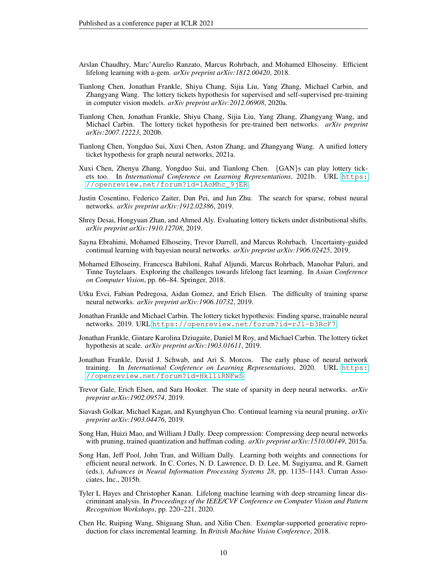- <span id="page-9-6"></span>Arslan Chaudhry, Marc'Aurelio Ranzato, Marcus Rohrbach, and Mohamed Elhoseiny. Efficient lifelong learning with a-gem. *arXiv preprint arXiv:1812.00420*, 2018.
- <span id="page-9-11"></span>Tianlong Chen, Jonathan Frankle, Shiyu Chang, Sijia Liu, Yang Zhang, Michael Carbin, and Zhangyang Wang. The lottery tickets hypothesis for supervised and self-supervised pre-training in computer vision models. *arXiv preprint arXiv:2012.06908*, 2020a.
- <span id="page-9-13"></span>Tianlong Chen, Jonathan Frankle, Shiyu Chang, Sijia Liu, Yang Zhang, Zhangyang Wang, and Michael Carbin. The lottery ticket hypothesis for pre-trained bert networks. *arXiv preprint arXiv:2007.12223*, 2020b.
- <span id="page-9-15"></span>Tianlong Chen, Yongduo Sui, Xuxi Chen, Aston Zhang, and Zhangyang Wang. A unified lottery ticket hypothesis for graph neural networks, 2021a.
- <span id="page-9-14"></span>Xuxi Chen, Zhenyu Zhang, Yongduo Sui, and Tianlong Chen. {GAN}s can play lottery tickets too. In *International Conference on Learning Representations*, 2021b. URL [https:](https://openreview.net/forum?id=1AoMhc_9jER) [//openreview.net/forum?id=1AoMhc\\_9jER](https://openreview.net/forum?id=1AoMhc_9jER).
- <span id="page-9-16"></span>Justin Cosentino, Federico Zaiter, Dan Pei, and Jun Zhu. The search for sparse, robust neural networks. *arXiv preprint arXiv:1912.02386*, 2019.
- <span id="page-9-17"></span>Shrey Desai, Hongyuan Zhan, and Ahmed Aly. Evaluating lottery tickets under distributional shifts. *arXiv preprint arXiv:1910.12708*, 2019.
- <span id="page-9-5"></span>Sayna Ebrahimi, Mohamed Elhoseiny, Trevor Darrell, and Marcus Rohrbach. Uncertainty-guided continual learning with bayesian neural networks. *arXiv preprint arXiv:1906.02425*, 2019.
- <span id="page-9-4"></span>Mohamed Elhoseiny, Francesca Babiloni, Rahaf Aljundi, Marcus Rohrbach, Manohar Paluri, and Tinne Tuytelaars. Exploring the challenges towards lifelong fact learning. In *Asian Conference on Computer Vision*, pp. 66–84. Springer, 2018.
- <span id="page-9-9"></span>Utku Evci, Fabian Pedregosa, Aidan Gomez, and Erich Elsen. The difficulty of training sparse neural networks. *arXiv preprint arXiv:1906.10732*, 2019.
- <span id="page-9-0"></span>Jonathan Frankle and Michael Carbin. The lottery ticket hypothesis: Finding sparse, trainable neural networks. 2019. URL <https://openreview.net/forum?id=rJl-b3RcF7>.
- <span id="page-9-1"></span>Jonathan Frankle, Gintare Karolina Dziugaite, Daniel M Roy, and Michael Carbin. The lottery ticket hypothesis at scale. *arXiv preprint arXiv:1903.01611*, 2019.
- <span id="page-9-10"></span>Jonathan Frankle, David J. Schwab, and Ari S. Morcos. The early phase of neural network training. In *International Conference on Learning Representations*, 2020. URL [https:](https://openreview.net/forum?id=Hkl1iRNFwS) [//openreview.net/forum?id=Hkl1iRNFwS](https://openreview.net/forum?id=Hkl1iRNFwS).
- <span id="page-9-12"></span>Trevor Gale, Erich Elsen, and Sara Hooker. The state of sparsity in deep neural networks. *arXiv preprint arXiv:1902.09574*, 2019.
- <span id="page-9-18"></span>Siavash Golkar, Michael Kagan, and Kyunghyun Cho. Continual learning via neural pruning. *arXiv preprint arXiv:1903.04476*, 2019.
- <span id="page-9-8"></span>Song Han, Huizi Mao, and William J Dally. Deep compression: Compressing deep neural networks with pruning, trained quantization and huffman coding. *arXiv preprint arXiv:1510.00149*, 2015a.
- <span id="page-9-7"></span>Song Han, Jeff Pool, John Tran, and William Dally. Learning both weights and connections for efficient neural network. In C. Cortes, N. D. Lawrence, D. D. Lee, M. Sugiyama, and R. Garnett (eds.), *Advances in Neural Information Processing Systems 28*, pp. 1135–1143. Curran Associates, Inc., 2015b.
- <span id="page-9-3"></span>Tyler L Hayes and Christopher Kanan. Lifelong machine learning with deep streaming linear discriminant analysis. In *Proceedings of the IEEE/CVF Conference on Computer Vision and Pattern Recognition Workshops*, pp. 220–221, 2020.
- <span id="page-9-2"></span>Chen He, Ruiping Wang, Shiguang Shan, and Xilin Chen. Exemplar-supported generative reproduction for class incremental learning. In *British Machine Vision Conference*, 2018.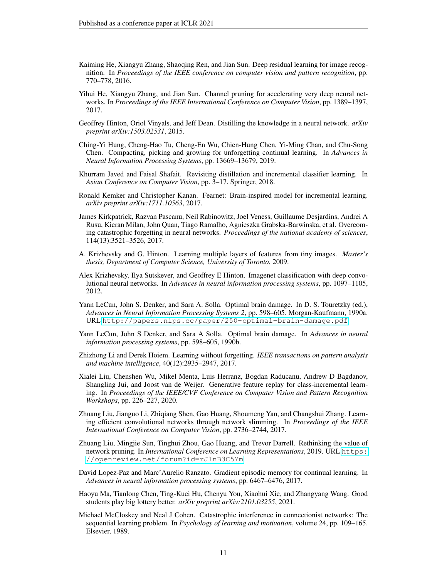- <span id="page-10-15"></span>Kaiming He, Xiangyu Zhang, Shaoqing Ren, and Jian Sun. Deep residual learning for image recognition. In *Proceedings of the IEEE conference on computer vision and pattern recognition*, pp. 770–778, 2016.
- <span id="page-10-12"></span>Yihui He, Xiangyu Zhang, and Jian Sun. Channel pruning for accelerating very deep neural networks. In *Proceedings of the IEEE International Conference on Computer Vision*, pp. 1389–1397, 2017.
- <span id="page-10-5"></span>Geoffrey Hinton, Oriol Vinyals, and Jeff Dean. Distilling the knowledge in a neural network. *arXiv preprint arXiv:1503.02531*, 2015.
- <span id="page-10-8"></span>Ching-Yi Hung, Cheng-Hao Tu, Cheng-En Wu, Chien-Hung Chen, Yi-Ming Chan, and Chu-Song Chen. Compacting, picking and growing for unforgetting continual learning. In *Advances in Neural Information Processing Systems*, pp. 13669–13679, 2019.
- <span id="page-10-3"></span>Khurram Javed and Faisal Shafait. Revisiting distillation and incremental classifier learning. In *Asian Conference on Computer Vision*, pp. 3–17. Springer, 2018.
- <span id="page-10-1"></span>Ronald Kemker and Christopher Kanan. Fearnet: Brain-inspired model for incremental learning. *arXiv preprint arXiv:1711.10563*, 2017.
- <span id="page-10-4"></span>James Kirkpatrick, Razvan Pascanu, Neil Rabinowitz, Joel Veness, Guillaume Desjardins, Andrei A Rusu, Kieran Milan, John Quan, Tiago Ramalho, Agnieszka Grabska-Barwinska, et al. Overcoming catastrophic forgetting in neural networks. *Proceedings of the national academy of sciences*, 114(13):3521–3526, 2017.
- <span id="page-10-16"></span>A. Krizhevsky and G. Hinton. Learning multiple layers of features from tiny images. *Master's thesis, Department of Computer Science, University of Toronto*, 2009.
- <span id="page-10-17"></span>Alex Krizhevsky, Ilya Sutskever, and Geoffrey E Hinton. Imagenet classification with deep convolutional neural networks. In *Advances in neural information processing systems*, pp. 1097–1105, 2012.
- <span id="page-10-10"></span>Yann LeCun, John S. Denker, and Sara A. Solla. Optimal brain damage. In D. S. Touretzky (ed.), *Advances in Neural Information Processing Systems 2*, pp. 598–605. Morgan-Kaufmann, 1990a. URL <http://papers.nips.cc/paper/250-optimal-brain-damage.pdf>.
- <span id="page-10-9"></span>Yann LeCun, John S Denker, and Sara A Solla. Optimal brain damage. In *Advances in neural information processing systems*, pp. 598–605, 1990b.
- <span id="page-10-2"></span>Zhizhong Li and Derek Hoiem. Learning without forgetting. *IEEE transactions on pattern analysis and machine intelligence*, 40(12):2935–2947, 2017.
- <span id="page-10-7"></span>Xialei Liu, Chenshen Wu, Mikel Menta, Luis Herranz, Bogdan Raducanu, Andrew D Bagdanov, Shangling Jui, and Joost van de Weijer. Generative feature replay for class-incremental learning. In *Proceedings of the IEEE/CVF Conference on Computer Vision and Pattern Recognition Workshops*, pp. 226–227, 2020.
- <span id="page-10-11"></span>Zhuang Liu, Jianguo Li, Zhiqiang Shen, Gao Huang, Shoumeng Yan, and Changshui Zhang. Learning efficient convolutional networks through network slimming. In *Proceedings of the IEEE International Conference on Computer Vision*, pp. 2736–2744, 2017.
- <span id="page-10-13"></span>Zhuang Liu, Mingjie Sun, Tinghui Zhou, Gao Huang, and Trevor Darrell. Rethinking the value of network pruning. In *International Conference on Learning Representations*, 2019. URL [https:](https://openreview.net/forum?id=rJlnB3C5Ym) [//openreview.net/forum?id=rJlnB3C5Ym](https://openreview.net/forum?id=rJlnB3C5Ym).
- <span id="page-10-6"></span>David Lopez-Paz and Marc'Aurelio Ranzato. Gradient episodic memory for continual learning. In *Advances in neural information processing systems*, pp. 6467–6476, 2017.
- <span id="page-10-14"></span>Haoyu Ma, Tianlong Chen, Ting-Kuei Hu, Chenyu You, Xiaohui Xie, and Zhangyang Wang. Good students play big lottery better. *arXiv preprint arXiv:2101.03255*, 2021.
- <span id="page-10-0"></span>Michael McCloskey and Neal J Cohen. Catastrophic interference in connectionist networks: The sequential learning problem. In *Psychology of learning and motivation*, volume 24, pp. 109–165. Elsevier, 1989.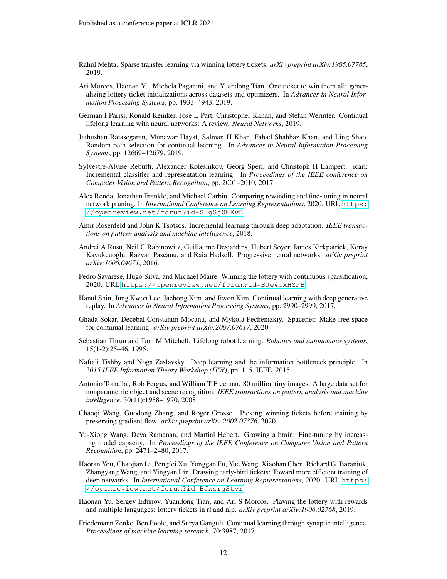- <span id="page-11-1"></span>Rahul Mehta. Sparse transfer learning via winning lottery tickets. *arXiv preprint arXiv:1905.07785*, 2019.
- <span id="page-11-0"></span>Ari Morcos, Haonan Yu, Michela Paganini, and Yuandong Tian. One ticket to win them all: generalizing lottery ticket initializations across datasets and optimizers. In *Advances in Neural Information Processing Systems*, pp. 4933–4943, 2019.
- <span id="page-11-2"></span>German I Parisi, Ronald Kemker, Jose L Part, Christopher Kanan, and Stefan Wermter. Continual lifelong learning with neural networks: A review. *Neural Networks*, 2019.
- <span id="page-11-10"></span>Jathushan Rajasegaran, Munawar Hayat, Salman H Khan, Fahad Shahbaz Khan, and Ling Shao. Random path selection for continual learning. In *Advances in Neural Information Processing Systems*, pp. 12669–12679, 2019.
- <span id="page-11-6"></span>Sylvestre-Alvise Rebuffi, Alexander Kolesnikov, Georg Sperl, and Christoph H Lampert. icarl: Incremental classifier and representation learning. In *Proceedings of the IEEE conference on Computer Vision and Pattern Recognition*, pp. 2001–2010, 2017.
- <span id="page-11-16"></span>Alex Renda, Jonathan Frankle, and Michael Carbin. Comparing rewinding and fine-tuning in neural network pruning. In *International Conference on Learning Representations*, 2020. URL [https:](https://openreview.net/forum?id=S1gSj0NKvB) [//openreview.net/forum?id=S1gSj0NKvB](https://openreview.net/forum?id=S1gSj0NKvB).
- <span id="page-11-4"></span>Amir Rosenfeld and John K Tsotsos. Incremental learning through deep adaptation. *IEEE transactions on pattern analysis and machine intelligence*, 2018.
- <span id="page-11-11"></span>Andrei A Rusu, Neil C Rabinowitz, Guillaume Desjardins, Hubert Soyer, James Kirkpatrick, Koray Kavukcuoglu, Razvan Pascanu, and Raia Hadsell. Progressive neural networks. *arXiv preprint arXiv:1606.04671*, 2016.
- <span id="page-11-13"></span>Pedro Savarese, Hugo Silva, and Michael Maire. Winning the lottery with continuous sparsification, 2020. URL <https://openreview.net/forum?id=BJe4oxHYPB>.
- <span id="page-11-9"></span>Hanul Shin, Jung Kwon Lee, Jaehong Kim, and Jiwon Kim. Continual learning with deep generative replay. In *Advances in Neural Information Processing Systems*, pp. 2990–2999, 2017.
- <span id="page-11-17"></span>Ghada Sokar, Decebal Constantin Mocanu, and Mykola Pechenizkiy. Spacenet: Make free space for continual learning. *arXiv preprint arXiv:2007.07617*, 2020.
- <span id="page-11-7"></span>Sebastian Thrun and Tom M Mitchell. Lifelong robot learning. *Robotics and autonomous systems*, 15(1-2):25–46, 1995.
- <span id="page-11-5"></span>Naftali Tishby and Noga Zaslavsky. Deep learning and the information bottleneck principle. In *2015 IEEE Information Theory Workshop (ITW)*, pp. 1–5. IEEE, 2015.
- <span id="page-11-18"></span>Antonio Torralba, Rob Fergus, and William T Freeman. 80 million tiny images: A large data set for nonparametric object and scene recognition. *IEEE transactions on pattern analysis and machine intelligence*, 30(11):1958–1970, 2008.
- <span id="page-11-12"></span>Chaoqi Wang, Guodong Zhang, and Roger Grosse. Picking winning tickets before training by preserving gradient flow. *arXiv preprint arXiv:2002.07376*, 2020.
- <span id="page-11-3"></span>Yu-Xiong Wang, Deva Ramanan, and Martial Hebert. Growing a brain: Fine-tuning by increasing model capacity. In *Proceedings of the IEEE Conference on Computer Vision and Pattern Recognition*, pp. 2471–2480, 2017.
- <span id="page-11-14"></span>Haoran You, Chaojian Li, Pengfei Xu, Yonggan Fu, Yue Wang, Xiaohan Chen, Richard G. Baraniuk, Zhangyang Wang, and Yingyan Lin. Drawing early-bird tickets: Toward more efficient training of deep networks. In *International Conference on Learning Representations*, 2020. URL [https:](https://openreview.net/forum?id=BJxsrgStvr) [//openreview.net/forum?id=BJxsrgStvr](https://openreview.net/forum?id=BJxsrgStvr).
- <span id="page-11-15"></span>Haonan Yu, Sergey Edunov, Yuandong Tian, and Ari S Morcos. Playing the lottery with rewards and multiple languages: lottery tickets in rl and nlp. *arXiv preprint arXiv:1906.02768*, 2019.
- <span id="page-11-8"></span>Friedemann Zenke, Ben Poole, and Surya Ganguli. Continual learning through synaptic intelligence. *Proceedings of machine learning research*, 70:3987, 2017.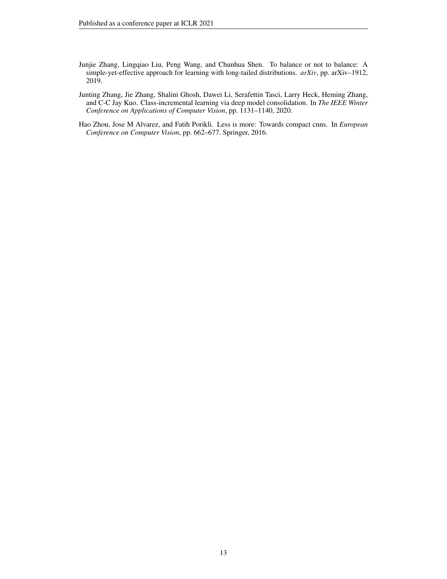- <span id="page-12-2"></span>Junjie Zhang, Lingqiao Liu, Peng Wang, and Chunhua Shen. To balance or not to balance: A simple-yet-effective approach for learning with long-tailed distributions. *arXiv*, pp. arXiv–1912, 2019.
- <span id="page-12-0"></span>Junting Zhang, Jie Zhang, Shalini Ghosh, Dawei Li, Serafettin Tasci, Larry Heck, Heming Zhang, and C-C Jay Kuo. Class-incremental learning via deep model consolidation. In *The IEEE Winter Conference on Applications of Computer Vision*, pp. 1131–1140, 2020.
- <span id="page-12-1"></span>Hao Zhou, Jose M Alvarez, and Fatih Porikli. Less is more: Towards compact cnns. In *European Conference on Computer Vision*, pp. 662–677. Springer, 2016.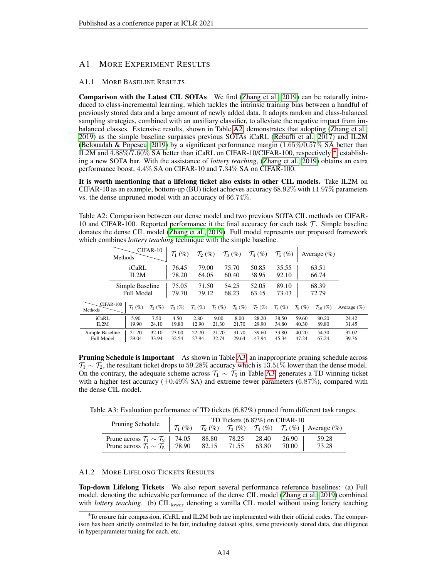## <span id="page-13-2"></span>A1 MORE EXPERIMENT RESULTS

#### <span id="page-13-0"></span>A1.1 MORE BASELINE RESULTS

Comparison with the Latest CIL SOTAs We find [\(Zhang et al., 2019\)](#page-12-2) can be naturally introduced to class-incremental learning, which tackles the intrinsic training bias between a handful of previously stored data and a large amount of newly added data. It adopts random and class-balanced sampling strategies, combined with an auxiliary classifier, to alleviate the negative impact from imbalanced classes. Extensive results, shown in Table [A2,](#page-13-3) demonstrates that adopting [\(Zhang et al.,](#page-12-2) [2019\)](#page-12-2) as the simple baseline surpasses previous SOTAs iCaRL [\(Rebuffi et al., 2017\)](#page-11-6) and IL2M [\(Belouadah & Popescu, 2019\)](#page-8-0) by a significant performance margin (1.65%/0.57% SA better than IL2M and  $4.88\%/7.60\%$  $4.88\%/7.60\%$  SA better than iCaRL on CIFAR-10/CIFAR-100, respectively)<sup>4</sup>, establishing a new SOTA bar. With the assistance of *lottery teaching*, [\(Zhang et al., 2019\)](#page-12-2) obtains an extra performance boost, 4.4% SA on CIFAR-10 and 7.34% SA on CIFAR-100.

It is worth mentioning that a lifelong ticket also exists in other CIL models. Take IL2M on CIFAR-10 as an example, bottom-up (BU) ticket achieves accuracy 68.92% with 11.97% parameters vs. the dense unpruned model with an accuracy of 66.74%.

<span id="page-13-3"></span>Table A2: Comparison between our dense model and two previous SOTA CIL methods on CIFAR-10 and CIFAR-100. Reported performance it the final accuracy for each task  $\mathcal{T}$ . Simple baseline donates the dense CIL model [\(Zhang et al., 2019\)](#page-12-2). Full model represents our proposed framework which combines *lottery teaching* technique with the simple baseline.

|                                      | Methods          |                                      | $CIFAR-10$            | $\mathcal{T}_1$ (%) | $\mathcal{T}_2$ (%) |                     | $\mathcal{T}_3(\%)$ | $\mathcal{T}_4$ (%)   | $\mathcal{T}_5(\%)$ |                     | Average $(\%)$         |                 |
|--------------------------------------|------------------|--------------------------------------|-----------------------|---------------------|---------------------|---------------------|---------------------|-----------------------|---------------------|---------------------|------------------------|-----------------|
|                                      |                  | iCaRL<br>IL2M                        |                       | 76.45<br>78.20      | 79.00<br>64.05      |                     | 75.70<br>60.40      | 50.85<br>38.95        | 35.55<br>92.10      |                     | 63.51<br>66.74         |                 |
|                                      |                  | Simple Baseline<br><b>Full Model</b> |                       | 75.05<br>79.70      | 71.50<br>79.12      |                     | 54.25<br>68.23      | 52.05<br>63.45        | 89.10<br>73.43      |                     | 68.39<br>72.79         |                 |
| Methods                              | <b>CIFAR-100</b> | $\mathcal{T}_1$ (%)                  | $\mathcal{T}_{2}(\%)$ | $\mathcal{T}_3(\%)$ | $\mathcal{T}_4(\%)$ | $\mathcal{T}_5(\%)$ | $\mathcal{T}_6$ (%) | $\mathcal{T}_{7}(\%)$ | $\mathcal{T}_8(\%)$ | $\mathcal{T}_9(\%)$ | $\mathcal{T}_{10}$ (%) | Average $(\% )$ |
| $iCaRI$ .<br>IL2M                    |                  | 5.90<br>19.90                        | 7.50<br>24.10         | 4.50<br>19.80       | 2.80<br>12.90       | 9.00<br>21.30       | 8.00<br>21.70       | 28.20<br>29.90        | 38.50<br>34.80      | 59.60<br>40.30      | 80.20<br>89.80         | 24.42<br>31.45  |
| Simple Baseline<br><b>Full Model</b> |                  | 21.20<br>29.04                       | 32.10<br>33.94        | 23.00<br>32.54      | 22.70<br>27.94      | 21.70<br>32.74      | 31.70<br>29.64      | 39.60<br>47.94        | 33.80<br>45.34      | 40.20<br>47.24      | 54.30<br>67.24         | 32.02<br>39.36  |

**Pruning Schedule is Important** As shown in Table [A3,](#page-13-1) an inappropriate pruning schedule across  $T_1 \sim T_2$ , the resultant ticket drops to 59.28% accuracy which is 13.51% lower than the dense model. On the contrary, the adequate scheme across  $\mathcal{T}_1 \sim \mathcal{T}_5$  in Table [A3,](#page-13-1) generates a TD winning ticket with a higher test accuracy  $(+0.49\% S_A)$  and extreme fewer parameters  $(6.87\%)$ , compared with the dense CIL model.

Table A3: Evaluation performance of TD tickets (6.87%) pruned from different task ranges.

<span id="page-13-1"></span>

|                                                         | TD Tickets $(6.87\%)$ on CIFAR-10 |             |       |       |       |                                                                                                                                                  |  |  |  |
|---------------------------------------------------------|-----------------------------------|-------------|-------|-------|-------|--------------------------------------------------------------------------------------------------------------------------------------------------|--|--|--|
| Pruning Schedule                                        |                                   |             |       |       |       | $\begin{bmatrix} \mathcal{T}_1(\%) & \mathcal{T}_2(\%) & \mathcal{T}_3(\%) & \mathcal{T}_4(\%) & \mathcal{T}_5(\%) \end{bmatrix}$ Average $(\%)$ |  |  |  |
| Prune across $\mathcal{T}_1 \sim \mathcal{T}_2$   74.05 |                                   | 88.80       | 78.25 | 28.40 | 26.90 | 59.28                                                                                                                                            |  |  |  |
| Prune across $\mathcal{T}_1 \sim \mathcal{T}_5$   78.90 |                                   | 82.15 71.55 |       | 63.80 | 70.00 | 73.28                                                                                                                                            |  |  |  |

#### A1.2 MORE LIFELONG TICKETS RESULTS

Top-down Lifelong Tickets We also report several performance reference baselines: (a) Full model, denoting the achievable performance of the dense CIL model [\(Zhang et al., 2019\)](#page-12-2) combined with *lottery teaching*. (b) CIL<sub>lower</sub> denoting a vanilla CIL model without using lottery teaching

<span id="page-13-4"></span><sup>&</sup>lt;sup>4</sup>To ensure fair compassion, iCaRL and IL2M both are implemented with their official codes. The comparison has been strictly controlled to be fair, including dataset splits, same previously stored data, due diligence in hyperparameter tuning for each, etc.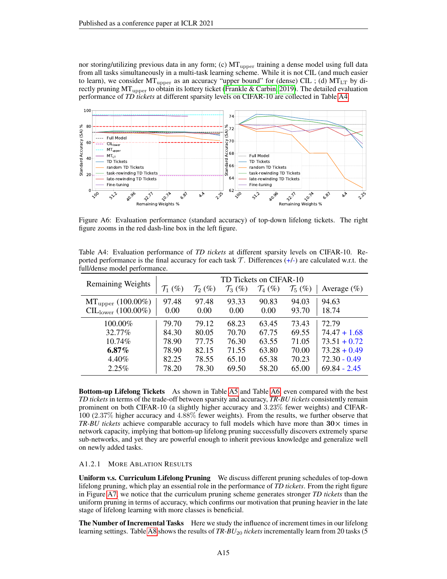nor storing/utilizing previous data in any form; (c)  $MT_{\text{upper}}$  training a dense model using full data from all tasks simultaneously in a multi-task learning scheme. While it is not CIL (and much easier to learn), we consider  $MT_{\text{upper}}$  as an accuracy "upper bound" for (dense) CIL ; (d)  $MT_{\text{LT}}$  by directly pruning  $MT_{\text{upper}}$  to obtain its lottery ticket [\(Frankle & Carbin, 2019\)](#page-9-0). The detailed evaluation performance of *TD tickets* at different sparsity levels on CIFAR-10 are collected in Table [A4.](#page-14-0)



Figure A6: Evaluation performance (standard accuracy) of top-down lifelong tickets. The right figure zooms in the red dash-line box in the left figure.

<span id="page-14-0"></span>Table A4: Evaluation performance of *TD tickets* at different sparsity levels on CIFAR-10. Reported performance is the final accuracy for each task  $\mathcal{T}$ . Differences (+/-) are calculated w.r.t. the full/dense model performance.

|                                |                     |                     | TD Tickets on CIFAR-10 |                     |                     |                 |
|--------------------------------|---------------------|---------------------|------------------------|---------------------|---------------------|-----------------|
| <b>Remaining Weights</b>       | $\mathcal{T}_1$ (%) | $\mathcal{T}_2$ (%) | $\mathcal{T}_3$ (%)    | $\mathcal{T}_4$ (%) | $\mathcal{T}_5(\%)$ | Average $(\% )$ |
| $MT_{\text{upper}} (100.00\%)$ | 97.48               | 97.48               | 93.33                  | 90.83               | 94.03               | 94.63           |
| $CIL_{lower} (100.00\%)$       | 0.00                | 0.00                | 0.00                   | 0.00                | 93.70               | 18.74           |
| $100.00\%$                     | 79.70               | 79.12               | 68.23                  | 63.45               | 73.43               | 72.79           |
| 32.77%                         | 84.30               | 80.05               | 70.70                  | 67.75               | 69.55               | $74.47 + 1.68$  |
| $10.74\%$                      | 78.90               | 77.75               | 76.30                  | 63.55               | 71.05               | $73.51 + 0.72$  |
| $6.87\%$                       | 78.90               | 82.15               | 71.55                  | 63.80               | 70.00               | $73.28 + 0.49$  |
| 4.40%                          | 82.25               | 78.55               | 65.10                  | 65.38               | 70.23               | $72.30 - 0.49$  |
| 2.25%                          | 78.20               | 78.30               | 69.50                  | 58.20               | 65.00               | $69.84 - 2.45$  |

Bottom-up Lifelong Tickets As shown in Table [A5](#page-15-1) and Table [A6,](#page-15-2) even compared with the best *TD tickets* in terms of the trade-off between sparsity and accuracy, *TR-BU tickets* consistently remain prominent on both CIFAR-10 (a slightly higher accuracy and 3.23% fewer weights) and CIFAR-100 (2.37% higher accuracy and 4.88% fewer weights). From the results, we further observe that *TR-BU tickets* achieve comparable accuracy to full models which have more than  $30 \times$  times in network capacity, implying that bottom-up lifelong pruning successfully discovers extremely sparse sub-networks, and yet they are powerful enough to inherit previous knowledge and generalize well on newly added tasks.

#### <span id="page-14-1"></span>A1.2.1 MORE ABLATION RESULTS

Uniform v.s. Curriculum Lifelong Pruning We discuss different pruning schedules of top-down lifelong pruning, which play an essential role in the performance of *TD tickets*. From the right figure in Figure [A7,](#page-15-3) we notice that the curriculum pruning scheme generates stronger *TD tickets* than the uniform pruning in terms of accuracy, which confirms our motivation that pruning heavier in the late stage of lifelong learning with more classes is beneficial.

The Number of Incremental Tasks Here we study the influence of increment times in our lifelong learning settings. Table [A8](#page-16-1) shows the results of *TR-BU*<sup>20</sup> *tickets* incrementally learn from 20 tasks (5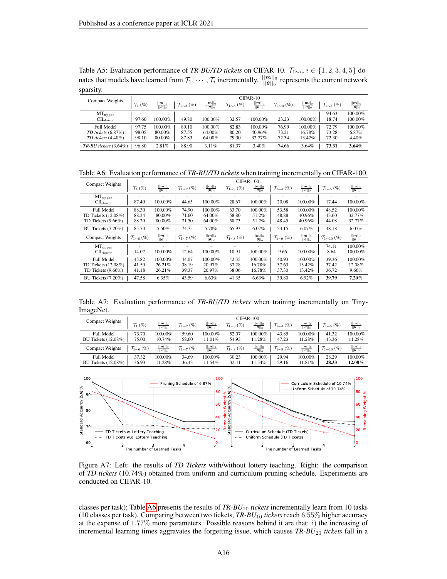<span id="page-15-1"></span>Table A5: Evaluation performance of *TR-BU/TD tickets* on CIFAR-10.  $\mathcal{T}_{1 \sim i}$ ,  $i \in \{1, 2, 3, 4, 5\}$  donates that models have learned from  $\mathcal{T}_1, \cdots, \mathcal{T}_i$  incrementally.  $\frac{||m||_0}{||\theta||_0}$  represents the current network sparsity.

| Compact Weights            |                     |                               |                            |                                                              |                             | CIFAR-10                                                                          |                             |                               |                             |                                          |
|----------------------------|---------------------|-------------------------------|----------------------------|--------------------------------------------------------------|-----------------------------|-----------------------------------------------------------------------------------|-----------------------------|-------------------------------|-----------------------------|------------------------------------------|
|                            | $\mathcal{T}_1$ (%) | $\frac{ m  _0}{\ \theta\ _0}$ | $\mathcal{T}_{1\sim2}$ (%) | $\frac{\lVert \bm{m} \rVert_0}{\lVert \bm{\theta} \rVert_0}$ | $\mathcal{T}_{1\sim 3}$ (%) | $\frac{\lvert \bm{m} \rvert \rvert_0}{\lvert \lvert \bm{\theta} \rvert \rvert_0}$ | $\mathcal{T}_{1\sim 4}$ (%) | $\frac{ m  _0}{  \theta  _0}$ | $\mathcal{T}_{1\sim 5}$ (%) | $\frac{  \bm{m}  _0}{  \bm{\theta}  _0}$ |
| $MT_{\text{upper}}$        |                     | $\overline{\phantom{a}}$      |                            | $\overline{\phantom{a}}$                                     | $\overline{\phantom{a}}$    | $\overline{\phantom{a}}$                                                          |                             |                               | 94.63                       | 100.00%                                  |
| CL <sub>lower</sub>        | 97.60               | 100.00%                       | 49.80                      | 100.00%                                                      | 32.57                       | 100.00%                                                                           | 23.23                       | 100.00%                       | 18.74                       | 100.00%                                  |
| <b>Full Model</b>          | 97.75               | $100.00\%$                    | 89.10                      | 100.00%                                                      | 82.83                       | 100.00%                                                                           | 76.99                       | 100.00%                       | 72.79                       | 100.00%                                  |
| $TD$ tickets $(6.87\%)$    | 98.05               | 80.00%                        | 87.55                      | 64.00%                                                       | 80.20                       | 40.96%                                                                            | 73.21                       | 16.78%                        | 73.28                       | 6.87%                                    |
| $TD$ tickets $(4.40\%)$    | 98.10               | 80.00%                        | 87.83                      | 64.00%                                                       | 79.30                       | 32.77%                                                                            | 72.34                       | 13.42%                        | 72.30                       | 4.40%                                    |
| $TR-BU$ tickets $(3.64\%)$ | 96.80               | 2.81%                         | 88.90                      | 3.11%                                                        | 81.37                       | 3.40%                                                                             | 74.66                       | 3.64%                         | 73.31                       | $3.64\%$                                 |

<span id="page-15-2"></span>Table A6: Evaluation performance of *TR-BU/TD tickets* when training incrementally on CIFAR-100.

| <b>Compact Weights</b>                                               |                            |                                          |                            |                                          |                             | CIFAR-100                                |                                   |                                          |                              |                                          |
|----------------------------------------------------------------------|----------------------------|------------------------------------------|----------------------------|------------------------------------------|-----------------------------|------------------------------------------|-----------------------------------|------------------------------------------|------------------------------|------------------------------------------|
|                                                                      | $\mathcal{T}_1$ (%)        | $\frac{  \bm{m}  _0}{  \bm{\theta}  _0}$ | $\mathcal{T}_{1\sim2}$ (%) | $\frac{  \bm{m}  _0}{  \bm{\theta}  _0}$ | $\mathcal{T}_{1\sim 3}$ (%) | $  m  _0$<br>$\ \boldsymbol{\theta}\ _0$ | $\mathcal{T}_{1\sim 4}$ (%)       | $  m  _0$<br>$  \boldsymbol{\theta}  _0$ | $\mathcal{T}_{1\sim 5}$ (%)  | $\frac{  \bm{m}  _0}{  \bm{\theta}  _0}$ |
| $MT_{\rm upper}$<br>$\text{CIL}_{\text{lower}}$                      | ۰<br>87.40                 | 100.00%                                  | 44.65                      | 100.00%                                  | 28.67                       | ۰<br>100.00%                             | $\overline{\phantom{a}}$<br>20.08 | 100.00%                                  | ۰<br>17.44                   | 100.00%                                  |
| <b>Full Model</b><br>TD Tickets $(12.08\%)$<br>TD Tickets $(9.66\%)$ | 88.30<br>88.34<br>88.20    | 100.00%<br>80.00%<br>80.00%              | 74.90<br>71.60<br>71.50    | 100.00%<br>64.00%<br>64.00%              | 63.70<br>58.80<br>58.73     | 100.00%<br>51.2%<br>51.2%                | 53.58<br>48.88<br>48.45           | 100.00%<br>40.96%<br>40.96%              | 48.52<br>43.60<br>44.08      | 100.00%<br>32.77%<br>32.77%              |
| BU Tickets (7.20%)                                                   | 85.70                      | 5.50%                                    | 74.75                      | 5.78%                                    | 65.93                       | 6.07%                                    | 53.15                             | 6.07%                                    | 48.18                        | 6.07%                                    |
| <b>Compact Weights</b>                                               | $\mathcal{T}_{1\sim6}$ (%) | $\frac{  \bm{m}  _0}{  \bm{\theta}  _0}$ | $\mathcal{T}_{1\sim7}$ (%) | $\frac{  \bm{m}  _0}{  \bm{\theta}  _0}$ | $\mathcal{T}_{1\sim8}$ (%)  | $\frac{  \bm{m}  _0}{  \bm{\theta}  _0}$ | $\mathcal{T}_{1\sim9}$ (%)        | $\frac{  \bm{m}  _0}{  \bm{\theta}  _0}$ | $\mathcal{T}_{1\sim 10}$ (%) | $\frac{  \bm{m}  _0}{  \bm{\theta}  _0}$ |
| $MT_{\rm upper}$<br>$\rm CIL_{lower}$                                | 14.07                      | 100.00%                                  | 12.64                      | ۰<br>100.00%                             | 10.91                       | ٠<br>100.00%                             | $\overline{\phantom{a}}$<br>9.66  | 100.00%                                  | 74.11<br>8.64                | 100.00%<br>100.00%                       |
| <b>Full Model</b><br>TD Tickets $(12.08\%)$<br>TD Tickets $(9.66\%)$ | 45.82<br>41.50<br>41.18    | 100.00%<br>26.21%<br>26.21%              | 44.07<br>38.19<br>39.37    | 100.00%<br>20.97%<br>20.97%              | 42.35<br>37.28<br>38.06     | 100.00%<br>16.78%<br>16.78%              | 40.93<br>37.63<br>37.30           | 100.00%<br>13.42%<br>13.42%              | 39.36<br>37.42<br>36.72      | 100.00%<br>12.08%<br>9.66%               |
| BU Tickets (7.20%)                                                   | 47.58                      | 6.35%                                    | 43.59                      | 6.63%                                    | 41.35                       | 6.63%                                    | 39.80                             | 6.92%                                    | 39.79                        | $7.20\%$                                 |

<span id="page-15-0"></span>Table A7: Evaluation performance of *TR-BU/TD tickets* when training incrementally on Tiny-ImageNet.

| Compact Weights                                 |                            |                                                      |                            |                                                      |                             | CIFAR-100                                            |                             |                                          |                               |                                                      |
|-------------------------------------------------|----------------------------|------------------------------------------------------|----------------------------|------------------------------------------------------|-----------------------------|------------------------------------------------------|-----------------------------|------------------------------------------|-------------------------------|------------------------------------------------------|
|                                                 | $\mathcal{T}_1$ (%)        | $\frac{  \bm{m}  _0}{  \bm{\theta}  _0}$             | $\mathcal{T}_{1\sim2}$ (%) | $\frac{  \mathbf{m}  _0}{  \boldsymbol{\theta}  _0}$ | $\mathcal{T}_{1\sim 3}$ (%) | $\frac{  \mathbf{m}  _0}{  \boldsymbol{\theta}  _0}$ | $\mathcal{T}_{1\sim 4}$ (%) | $\frac{  \bm{m}  _0}{  \bm{\theta}  _0}$ | $\mathcal{T}_{1\sim 5}$ (%)   | $\frac{  \bm{m}  _0}{  \bm{\theta}  _0}$             |
| <b>Full Model</b>                               | 73.70                      | 100.00%                                              | 59.60                      | 100.00%                                              | 52.07                       | 100.00%                                              | 43.85                       | 100.00%                                  | 41.32                         | 100.00%                                              |
| <b>BU Tickets</b> (12.08%)                      | 75.00                      | 10.74%                                               | 58.60                      | 11.01%                                               | 54.93                       | 11.28%                                               | 47.23                       | 11.28%                                   | 43.36                         | 11.28%                                               |
| Compact Weights                                 | $\mathcal{T}_{1\sim6}$ (%) | $\frac{  \mathbf{m}  _0}{  \boldsymbol{\theta}  _0}$ | $\mathcal{T}_{1\sim7}$ (%) | $\frac{  \bm{m}  _0}{  \bm{\theta}  _0}$             | $\mathcal{T}_{1\sim8}$ (%)  | $\frac{ m  _0}{\ \theta\ _0}$                        | $\mathcal{T}_{1\sim9}$ (%)  | $\frac{  \bm{m}  _0}{  \bm{\theta}  _0}$ | $\mathcal{T}_{1 \sim 10}$ (%) | $\frac{  \mathbf{m}  _0}{  \boldsymbol{\theta}  _0}$ |
| <b>Full Model</b><br><b>BU Tickets</b> (12.08%) | 37.32<br>36.93             | 100.00%<br>11.28%                                    | 34.69<br>36.43             | 100.00%<br>1.54%                                     | 30.23<br>32.41              | 100.00%<br>11.54%                                    | 29.94<br>29.16              | 100.00%<br>11.81%                        | 28.29<br>28.33                | 100.00%<br>12.08%                                    |
|                                                 |                            |                                                      |                            |                                                      |                             |                                                      |                             |                                          |                               |                                                      |



<span id="page-15-3"></span>Figure A7: Left: the results of *TD Tickets* with/without lottery teaching. Right: the comparison of *TD tickets* (10.74%) obtained from uniform and curriculum pruning schedule. Experiments are conducted on CIFAR-10.

classes per task); Table [A6](#page-15-2) presents the results of *TR-BU*<sup>10</sup> *tickets* incrementally learn from 10 tasks (10 classes per task). Comparing between two tickets, *TR-BU*<sup>10</sup> *tickets* reach 6.55% higher accuracy at the expense of 1.77% more parameters. Possible reasons behind it are that: i) the increasing of incremental learning times aggravates the forgetting issue, which causes  $TR-BU_{20}$  tickets fall in a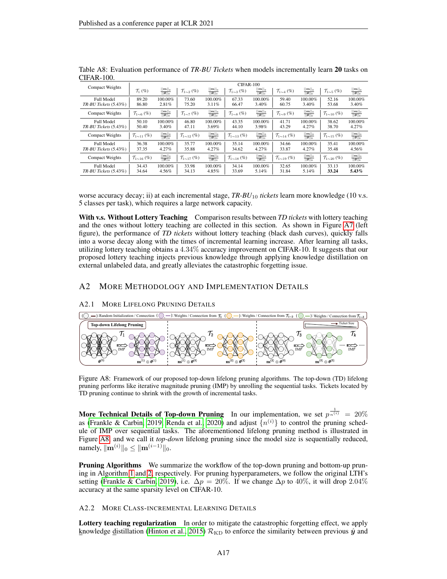| <b>Compact Weights</b>     |                              |                                          |                              |                                               | CIFAR-100                    |                                               |                              |                                               |                               |                                               |
|----------------------------|------------------------------|------------------------------------------|------------------------------|-----------------------------------------------|------------------------------|-----------------------------------------------|------------------------------|-----------------------------------------------|-------------------------------|-----------------------------------------------|
|                            | $\mathcal{T}_1$ (%)          | $  m  _0$<br>$  \boldsymbol{\theta}  _0$ | $\mathcal{T}_{1\sim2}$ (%)   | $  \bm{m}  _0$<br>$  \boldsymbol{\theta}  _0$ | $\mathcal{T}_{1\sim 3}$ (%)  | $  m  _0$<br>$  \boldsymbol{\theta}  _0$      | $\mathcal{T}_{1\sim 4}$ (%)  | $  m  _0$<br>$  \boldsymbol{\theta}  _0$      | $\mathcal{T}_{1\sim 5}$ (%)   | $  \bm{m}  _0$<br>$  \boldsymbol{\theta}  _0$ |
| Full Model                 | 89.20                        | 100.00%                                  | 73.60                        | 100.00%                                       | 67.33                        | 100.00%                                       | 59.40                        | 100.00%                                       | 52.16                         | 100.00%                                       |
| $TR-BU$ Tickets $(5.43\%)$ | 86.80                        | 2.81%                                    | 75.20                        | 3.11%                                         | 66.47                        | 3.40%                                         | 60.75                        | 3.40%                                         | 53.68                         | 3.40%                                         |
| <b>Compact Weights</b>     | $\mathcal{T}_{1\sim6}$ (%)   | $  m  _0$<br>$  \boldsymbol{\theta}  _0$ | $\mathcal{T}_{1\sim7}$ (%)   | $  \bm{m}  _0$<br>$  \boldsymbol{\theta}  _0$ | $\mathcal{T}_{1\sim8}$ (%)   | $  \bm{m}  _0$<br>$  \boldsymbol{\theta}  _0$ | $\mathcal{T}_{1\sim 9}$ (%)  | $  \bm{m}  _0$<br>$  \boldsymbol{\theta}  _0$ | $\mathcal{T}_{1 \sim 10}$ (%) | $  \bm{m}  _0$<br>$  \boldsymbol{\theta}  _0$ |
| <b>Full Model</b>          | 50.10                        | 100.00%                                  | 46.80                        | 100.00%                                       | 43.35                        | 100.00%                                       | 41.71                        | 100.00%                                       | 38.62                         | 100.00%                                       |
| $TR-BU$ Tickets $(5.43\%)$ | 50.40                        | 3.40%                                    | 47.11                        | 3.69%                                         | 44.10                        | 3.98%                                         | 43.29                        | 4.27%                                         | 38.70                         | 4.27%                                         |
| <b>Compact Weights</b>     | $\mathcal{T}_{1\sim 11}$ (%) | $  m  _0$<br>$  \boldsymbol{\theta}  _0$ | $\mathcal{T}_{1\sim 12}$ (%) | $  \bm{m}  _0$<br>$  \boldsymbol{\theta}  _0$ | $\mathcal{T}_{1\sim 13}$ (%) | $  \bm{m}  _0$<br>$  \boldsymbol{\theta}  _0$ | $\mathcal{T}_{1\sim 14}$ (%) | $  \bm{m}  _0$<br>$  \boldsymbol{\theta}  _0$ | $\mathcal{T}_{1\sim 15}$ (%)  | $  \bm{m}  _0$<br>$  \boldsymbol{\theta}  _0$ |
| Full Model                 | 36.38                        | 100.00%                                  | 35.77                        | $100.00\%$                                    | 35.14                        | $100.00\%$                                    | 34.66                        | 100.00%                                       | 35.41                         | 100.00%                                       |
| TR-BU Tickets (5.43%)      | 37.35                        | 4.27%                                    | 35.88                        | 4.27%                                         | 34.62                        | 4.27%                                         | 33.87                        | 4.27%                                         | 35.48                         | 4.56%                                         |
| <b>Compact Weights</b>     | $\mathcal{T}_{1\sim16}$ (%)  | $\frac{  \bm{m}  _0}{  \bm{\theta}  _0}$ | $\mathcal{T}_{1\sim 17}$ (%) | $  \bm{m}  _0$<br>$  \boldsymbol{\theta}  _0$ | $\mathcal{T}_{1\sim18}$ (%)  | $  \bm{m}  _0$<br>$  \boldsymbol{\theta}  _0$ | $\mathcal{T}_{1\sim19}$ (%)  | $  \bm{m}  _0$<br>$  \boldsymbol{\theta}  _0$ | $\mathcal{T}_{1\sim 20}$ (%)  | $  \bm{m}  _0$<br>$  \boldsymbol{\theta}  _0$ |
| <b>Full Model</b>          | 34.43                        | 100.00%                                  | 33.98                        | 100.00%                                       | 34.14                        | 100.00%                                       | 32.65                        | 100.00%                                       | 33.13                         | 100.00%                                       |
| $TR-BU$ Tickets $(5.43\%)$ | 34.64                        | 4.56%                                    | 34.13                        | 4.85%                                         | 33.69                        | 5.14%                                         | 31.84                        | 5.14%                                         | 33.24                         | $5.43\%$                                      |

<span id="page-16-1"></span>Table A8: Evaluation performance of *TR-BU Tickets* when models incrementally learn 20 tasks on CIFAR-100.

worse accuracy decay; ii) at each incremental stage, *TR-BU*<sup>10</sup> *tickets* learn more knowledge (10 v.s. 5 classes per task), which requires a large network capacity.

With v.s. Without Lottery Teaching Comparison results between *TD tickets* with lottery teaching and the ones without lottery teaching are collected in this section. As shown in Figure [A7](#page-15-3) (left figure), the performance of *TD tickets* without lottery teaching (black dash curves), quickly falls into a worse decay along with the times of incremental learning increase. After learning all tasks, utilizing lottery teaching obtains a 4.34% accuracy improvement on CIFAR-10. It suggests that our proposed lottery teaching injects previous knowledge through applying knowledge distillation on external unlabeled data, and greatly alleviates the catastrophic forgetting issue.

## A2 MORE METHODOLOGY AND IMPLEMENTATION DETAILS

## <span id="page-16-0"></span>A2.1 MORE LIFELONG PRUNING DETAILS



<span id="page-16-2"></span>Figure A8: Framework of our proposed top-down lifelong pruning algorithms. The top-down (TD) lifelong pruning performs like iterative magnitude pruning (IMP) by unrolling the sequential tasks. Tickets located by TD pruning continue to shrink with the growth of incremental tasks.

More Technical Details of Top-down Pruning In our implementation, we set  $p^{\frac{1}{n^{(i)}}}=20\%$ as [\(Frankle & Carbin, 2019;](#page-9-0) [Renda et al., 2020\)](#page-11-16) and adjust  $\{n^{(i)}\}$  to control the pruning schedule of IMP over sequential tasks. The aforementioned lifelong pruning method is illustrated in Figure [A8,](#page-16-2) and we call it *top-down* lifelong pruning since the model size is sequentially reduced, namely,  $\|\mathbf{m}^{(i)}\|_0 \leq \|\mathbf{m}^{(i-1)}\|_0.$ 

Pruning Algorithms We summarize the workflow of the top-down pruning and bottom-up pruning in Algorithm [1](#page-17-0) and [2,](#page-17-1) respectively. For pruning hyperparameters, we follow the original LTH's setting [\(Frankle & Carbin, 2019\)](#page-9-0), i.e.  $\Delta p = 20\%$ . If we change  $\Delta p$  to 40%, it will drop 2.04% accuracy at the same sparsity level on CIFAR-10.

A2.2 MORE CLASS-INCREMENTAL LEARNING DETAILS

Lottery teaching regularization In order to mitigate the catastrophic forgetting effect, we apply knowledge distillation [\(Hinton et al., 2015\)](#page-10-5)  $\mathcal{R}_{KD}$  to enforce the similarity between previous  $\hat{y}$  and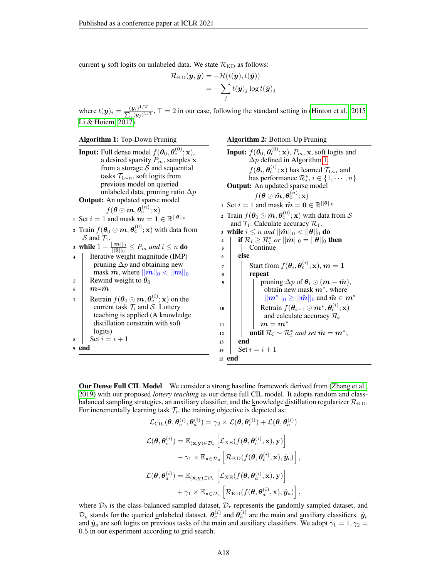current  $y$  soft logits on unlabeled data. We state  $\mathcal{R}_{\rm KD}$  as follows:

<span id="page-17-1"></span>
$$
\mathcal{R}_{\text{KD}}(\boldsymbol{y}, \hat{\boldsymbol{y}}) = -\mathcal{H}(t(\boldsymbol{y}), t(\hat{\boldsymbol{y}}))
$$
  
= 
$$
-\sum_{j} t(\boldsymbol{y})_{j} \log t(\hat{\boldsymbol{y}})_{j}
$$

where  $t(\mathbf{y})_i = \frac{(\mathbf{y}_i)^{1/T}}{\sum_{(\mathbf{y}_i) \cdot 1} (\mathbf{y}_i)^{1/T}}$  $\frac{(\mathbf{y}_i)^{-1}}{\sum_j (\mathbf{y}_j)^{1/\mathrm{T}}}$ , T = 2 in our case, following the standard setting in [\(Hinton et al., 2015;](#page-10-5) [Li & Hoiem, 2017\)](#page-10-2).

<span id="page-17-0"></span>

| <b>Algorithm 1: Top-Down Pruning</b>                                                                                                                                                                                                                                                                          | <b>Algorithm 2: Bottom-Up Pruning</b>                                                                                                                                                                                                                                                                                                                                                            |
|---------------------------------------------------------------------------------------------------------------------------------------------------------------------------------------------------------------------------------------------------------------------------------------------------------------|--------------------------------------------------------------------------------------------------------------------------------------------------------------------------------------------------------------------------------------------------------------------------------------------------------------------------------------------------------------------------------------------------|
| <b>Input:</b> Full dense model $f(\theta_0, \theta_c^{(0)}; \mathbf{x})$ ,<br>a desired sparsity $P_m$ , samples x                                                                                                                                                                                            | <b>Input:</b> $f(\theta_0, \theta_c^{(0)}; \mathbf{x})$ , $P_m$ , x, soft logits and<br>$\Delta p$ defined in Algorithm 1,                                                                                                                                                                                                                                                                       |
| from a storage $S$ and sequential<br>tasks $\mathcal{T}_{1\sim n}$ , soft logits from<br>previous model on queried<br>unlabeled data, pruning ratio $\Delta p$<br><b>Output:</b> An updated sparse model<br>$f(\boldsymbol{\theta} \odot \boldsymbol{m}, \boldsymbol{\theta}_{\mathrm{c}}^{(n)}; \mathbf{x})$ | $f(\boldsymbol{\theta}_i, \boldsymbol{\theta}_c^{(i)}; \mathbf{x})$ has learned $\mathcal{T}_{1 \sim i}$ and<br>has performance $\mathcal{R}_i^*, i \in \{1, \dots, n\}$<br>Output: An updated sparse model<br>$f(\boldsymbol{\theta} \odot \tilde{\boldsymbol{m}}, \boldsymbol{\theta}_{\mathrm{c}}^{(n)}; \mathbf{x})$<br>1 Set $i = 1$ and mask $\tilde{m} = 0 \in \mathbb{R}^{  \theta  _0}$ |
| 1 Set $i = 1$ and mask $m = 1 \in \mathbb{R}^{  \theta  _0}$                                                                                                                                                                                                                                                  | 2 Train $f(\theta_0 \odot \tilde{m}, \theta_c^{(0)}; \mathbf{x})$ with data from S                                                                                                                                                                                                                                                                                                               |
| 2 Train $f(\theta_0 \odot \mathbf{m}, \theta_c^{(0)}; \mathbf{x})$ with data from<br>S and $\mathcal{T}_1$ .                                                                                                                                                                                                  | and $\mathcal{T}_1$ . Calculate accuracy $\mathcal{R}_1$ .<br>3 while $i \leq n$ and $  \tilde{m}  _0 <   \theta  _0$ do<br>if $\mathcal{R}_i \geq \mathcal{R}_i^*$ or $  \tilde{\boldsymbol{m}}  _0 =   \boldsymbol{\theta}  _0$ then<br>4                                                                                                                                                      |
| 3 while $1 - \frac{  \mathbf{m}  _0}{  \mathbf{\theta}  _0} \leq P_m$ and $i \leq n$ do<br>Iterative weight magnitude (IMP)                                                                                                                                                                                   | Continue<br>5<br>else<br>6                                                                                                                                                                                                                                                                                                                                                                       |
| pruning $\Delta p$ and obtaining new<br>mask $\tilde{m}$ , where $  \tilde{m}  _0 <   m  _0$<br>Rewind weight to $\theta_0$<br>5                                                                                                                                                                              | Start from $f(\theta_i, \theta_c^{(i)}; \mathbf{x})$ , $m = 1$<br>7<br>repeat<br>8<br>pruning $\Delta p$ of $\theta_i \odot (m - \tilde{m})$ ,<br>9                                                                                                                                                                                                                                              |
| $m = m$<br>6<br>Retrain $f(\theta_0 \odot m, \theta_c^{(i)}; \mathbf{x})$ on the<br>7<br>current task $\mathcal{T}_i$ and S. Lottery<br>teaching is applied (A knowledge                                                                                                                                      | obtain new mask $m^*$ , where<br>$  m^*  _0 \ge   m  _0$ and $\tilde{m} \in m^*$<br>Retrain $f(\theta_{i-1} \odot m^*, \theta_c^{(i)}; \mathbf{x})$<br>10<br>and calculate accuracy $\mathcal{R}_i$                                                                                                                                                                                              |
| distillation constrain with soft<br>logits)<br>Set $i = i + 1$<br>8<br><sub>9</sub> end                                                                                                                                                                                                                       | $m = m^*$<br>11<br><b>until</b> $\mathcal{R}_i \sim \mathcal{R}_i^*$ and set $\tilde{m} = m^*$ ;<br>12<br>end<br>13<br>Set $i = i + 1$<br>14                                                                                                                                                                                                                                                     |
|                                                                                                                                                                                                                                                                                                               | 15 end                                                                                                                                                                                                                                                                                                                                                                                           |

Our Dense Full CIL Model We consider a strong baseline framework derived from [\(Zhang et al.,](#page-12-2) [2019\)](#page-12-2) with our proposed *lottery teaching* as our dense full CIL model. It adopts random and classbalanced sampling strategies, an auxiliary classifier, and the knowledge distillation regularizer  $\mathcal{R}_{KD}$ . For incrementally learning task  $\mathcal{T}_i$ , the training objective is depicted as:

$$
\mathcal{L}_{\text{CIL}}(\theta, \theta_c^{(i)}, \theta_a^{(i)}) = \gamma_2 \times \mathcal{L}(\theta, \theta_c^{(i)}) + \mathcal{L}(\theta, \theta_a^{(i)})
$$
\n
$$
\mathcal{L}(\theta, \theta_c^{(i)}) = \mathbb{E}_{(\mathbf{x}, \mathbf{y}) \in \mathcal{D}_b} \left[ \mathcal{L}_{\text{XE}}(f(\theta, \theta_c^{(i)}, \mathbf{x}), \mathbf{y}) \right]
$$
\n
$$
+ \gamma_1 \times \mathbb{E}_{\mathbf{x} \in \mathcal{D}_u} \left[ \mathcal{R}_{\text{KD}}(f(\theta, \theta_c^{(i)}, \mathbf{x}), \hat{\mathbf{y}}_c) \right],
$$
\n
$$
\mathcal{L}(\theta, \theta_a^{(i)}) = \mathbb{E}_{(\mathbf{x}, \mathbf{y}) \in \mathcal{D}_r} \left[ \mathcal{L}_{\text{XE}}(f(\theta, \theta_a^{(i)}, \mathbf{x}), \mathbf{y}) \right]
$$
\n
$$
+ \gamma_1 \times \mathbb{E}_{\mathbf{x} \in \mathcal{D}_u} \left[ \mathcal{R}_{\text{KD}}(f(\theta, \theta_a^{(i)}, \mathbf{x}), \hat{\mathbf{y}}_a) \right],
$$

where  $\mathcal{D}_b$  is the class-balanced sampled dataset,  $\mathcal{D}_r$  represents the randomly sampled dataset, and  $\mathcal{D}_u$  stands for the queried unlabeled dataset.  $\theta_c^{(i)}$  and  $\theta_a^{(i)}$  are the main and auxiliary classifiers.  $\hat{y}_c$ and  $\hat{y}_a$  are soft logits on previous tasks of the main and auxiliary classifiers. We adopt  $\gamma_1 = 1, \gamma_2 = 1$ 0.5 in our experiment according to grid search.